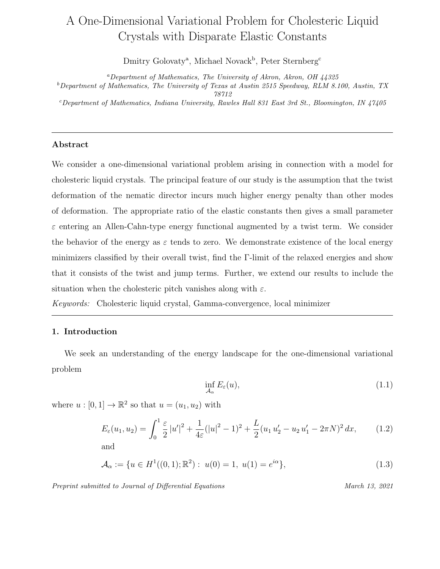# A One-Dimensional Variational Problem for Cholesteric Liquid Crystals with Disparate Elastic Constants

Dmitry Golovaty<sup>a</sup>, Michael Novack<sup>b</sup>, Peter Sternberg<sup>c</sup>

<sup>a</sup>Department of Mathematics, The University of Akron, Akron, OH  $44325$  $b$ Department of Mathematics, The University of Texas at Austin 2515 Speedway, RLM 8.100, Austin, TX 78712

 $c$ Department of Mathematics, Indiana University, Rawles Hall 831 East 3rd St., Bloomington, IN 47405

### Abstract

We consider a one-dimensional variational problem arising in connection with a model for cholesteric liquid crystals. The principal feature of our study is the assumption that the twist deformation of the nematic director incurs much higher energy penalty than other modes of deformation. The appropriate ratio of the elastic constants then gives a small parameter  $\varepsilon$  entering an Allen-Cahn-type energy functional augmented by a twist term. We consider the behavior of the energy as  $\varepsilon$  tends to zero. We demonstrate existence of the local energy minimizers classified by their overall twist, find the Γ-limit of the relaxed energies and show that it consists of the twist and jump terms. Further, we extend our results to include the situation when the cholesteric pitch vanishes along with  $\varepsilon$ .

Keywords: Cholesteric liquid crystal, Gamma-convergence, local minimizer

## 1. Introduction

We seek an understanding of the energy landscape for the one-dimensional variational problem

$$
\inf_{\mathcal{A}_{\alpha}} E_{\varepsilon}(u),\tag{1.1}
$$

where  $u : [0,1] \to \mathbb{R}^2$  so that  $u = (u_1, u_2)$  with

$$
E_{\varepsilon}(u_1, u_2) = \int_0^1 \frac{\varepsilon}{2} |u'|^2 + \frac{1}{4\varepsilon} (|u|^2 - 1)^2 + \frac{L}{2} (u_1 u_2' - u_2 u_1' - 2\pi N)^2 dx, \quad (1.2)
$$
  
and

$$
\mathcal{A}_{\alpha} := \{ u \in H^1((0,1); \mathbb{R}^2) : u(0) = 1, u(1) = e^{i\alpha} \},
$$
\n(1.3)

Preprint submitted to Journal of Differential Equations March 13, 2021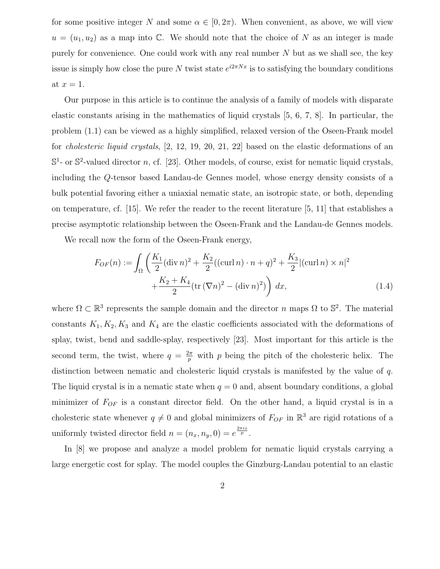for some positive integer N and some  $\alpha \in [0, 2\pi)$ . When convenient, as above, we will view  $u = (u_1, u_2)$  as a map into C. We should note that the choice of N as an integer is made purely for convenience. One could work with any real number  $N$  but as we shall see, the key issue is simply how close the pure N twist state  $e^{i2\pi Nx}$  is to satisfying the boundary conditions at  $x=1$ .

Our purpose in this article is to continue the analysis of a family of models with disparate elastic constants arising in the mathematics of liquid crystals [5, 6, 7, 8]. In particular, the problem (1.1) can be viewed as a highly simplified, relaxed version of the Oseen-Frank model for cholesteric liquid crystals, [2, 12, 19, 20, 21, 22] based on the elastic deformations of an  $\mathbb{S}^1$ - or  $\mathbb{S}^2$ -valued director n, cf. [23]. Other models, of course, exist for nematic liquid crystals, including the Q-tensor based Landau-de Gennes model, whose energy density consists of a bulk potential favoring either a uniaxial nematic state, an isotropic state, or both, depending on temperature, cf. [15]. We refer the reader to the recent literature [5, 11] that establishes a precise asymptotic relationship between the Oseen-Frank and the Landau-de Gennes models.

We recall now the form of the Oseen-Frank energy,

$$
F_{OF}(n) := \int_{\Omega} \left( \frac{K_1}{2} (\operatorname{div} n)^2 + \frac{K_2}{2} ((\operatorname{curl} n) \cdot n + q)^2 + \frac{K_3}{2} |(\operatorname{curl} n) \times n|^2 + \frac{K_2 + K_4}{2} (\operatorname{tr} (\nabla n)^2 - (\operatorname{div} n)^2) \right) dx,
$$
\n(1.4)

where  $\Omega \subset \mathbb{R}^3$  represents the sample domain and the director n maps  $\Omega$  to  $\mathbb{S}^2$ . The material constants  $K_1, K_2, K_3$  and  $K_4$  are the elastic coefficients associated with the deformations of splay, twist, bend and saddle-splay, respectively [23]. Most important for this article is the second term, the twist, where  $q = \frac{2\pi}{n}$  $\frac{2\pi}{p}$  with p being the pitch of the cholesteric helix. The distinction between nematic and cholesteric liquid crystals is manifested by the value of q. The liquid crystal is in a nematic state when  $q = 0$  and, absent boundary conditions, a global minimizer of FOF is a constant director field. On the other hand, a liquid crystal is in a cholesteric state whenever  $q \neq 0$  and global minimizers of  $F_{OF}$  in  $\mathbb{R}^3$  are rigid rotations of a uniformly twisted director field  $n = (n_x, n_y, 0) = e^{\frac{2\pi i z}{p}}$ .

In [8] we propose and analyze a model problem for nematic liquid crystals carrying a large energetic cost for splay. The model couples the Ginzburg-Landau potential to an elastic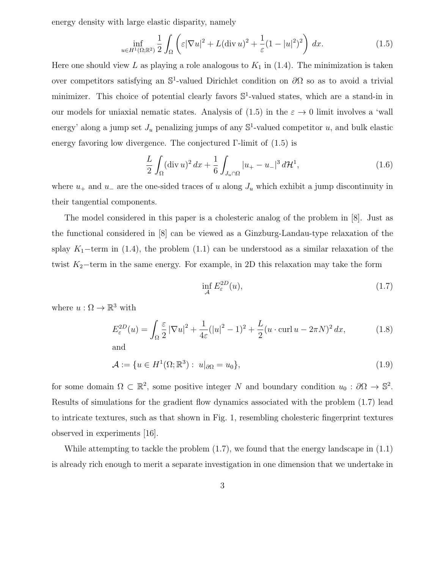energy density with large elastic disparity, namely

$$
\inf_{u \in H^1(\Omega; \mathbb{R}^2)} \frac{1}{2} \int_{\Omega} \left( \varepsilon |\nabla u|^2 + L(\text{div } u)^2 + \frac{1}{\varepsilon} (1 - |u|^2)^2 \right) dx. \tag{1.5}
$$

Here one should view L as playing a role analogous to  $K_1$  in (1.4). The minimization is taken over competitors satisfying an  $\mathbb{S}^1$ -valued Dirichlet condition on  $\partial\Omega$  so as to avoid a trivial minimizer. This choice of potential clearly favors  $\mathbb{S}^1$ -valued states, which are a stand-in in our models for uniaxial nematic states. Analysis of  $(1.5)$  in the  $\varepsilon \to 0$  limit involves a 'wall energy' along a jump set  $J_u$  penalizing jumps of any  $\mathbb{S}^1$ -valued competitor u, and bulk elastic energy favoring low divergence. The conjectured  $\Gamma$ -limit of  $(1.5)$  is

$$
\frac{L}{2} \int_{\Omega} (\text{div } u)^2 \, dx + \frac{1}{6} \int_{J_u \cap \Omega} |u_+ - u_-|^3 \, d\mathcal{H}^1,\tag{1.6}
$$

where  $u_+$  and  $u_-$  are the one-sided traces of u along  $J_u$  which exhibit a jump discontinuity in their tangential components.

The model considered in this paper is a cholesteric analog of the problem in [8]. Just as the functional considered in [8] can be viewed as a Ginzburg-Landau-type relaxation of the splay K<sub>1</sub>−term in (1.4), the problem (1.1) can be understood as a similar relaxation of the twist  $K_2$ −term in the same energy. For example, in 2D this relaxation may take the form

$$
\inf_{\mathcal{A}} E_{\varepsilon}^{2D}(u),\tag{1.7}
$$

where  $u : \Omega \to \mathbb{R}^3$  with

$$
E_{\varepsilon}^{2D}(u) = \int_{\Omega} \frac{\varepsilon}{2} |\nabla u|^2 + \frac{1}{4\varepsilon} (|u|^2 - 1)^2 + \frac{L}{2} (u \cdot \operatorname{curl} u - 2\pi N)^2 dx, \tag{1.8}
$$

and

$$
\mathcal{A} := \{ u \in H^1(\Omega; \mathbb{R}^3) : u|_{\partial \Omega} = u_0 \},\tag{1.9}
$$

for some domain  $\Omega \subset \mathbb{R}^2$ , some positive integer N and boundary condition  $u_0 : \partial \Omega \to \mathbb{S}^2$ . Results of simulations for the gradient flow dynamics associated with the problem (1.7) lead to intricate textures, such as that shown in Fig. 1, resembling cholesteric fingerprint textures observed in experiments [16].

While attempting to tackle the problem (1.7), we found that the energy landscape in (1.1) is already rich enough to merit a separate investigation in one dimension that we undertake in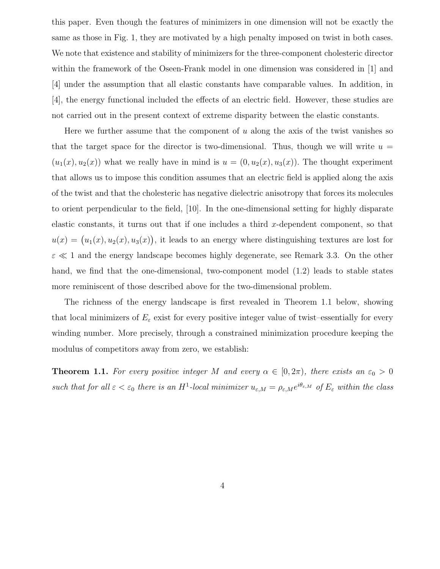this paper. Even though the features of minimizers in one dimension will not be exactly the same as those in Fig. 1, they are motivated by a high penalty imposed on twist in both cases. We note that existence and stability of minimizers for the three-component cholesteric director within the framework of the Oseen-Frank model in one dimension was considered in [1] and [4] under the assumption that all elastic constants have comparable values. In addition, in [4], the energy functional included the effects of an electric field. However, these studies are not carried out in the present context of extreme disparity between the elastic constants.

Here we further assume that the component of  $u$  along the axis of the twist vanishes so that the target space for the director is two-dimensional. Thus, though we will write  $u =$  $(u_1(x), u_2(x))$  what we really have in mind is  $u = (0, u_2(x), u_3(x))$ . The thought experiment that allows us to impose this condition assumes that an electric field is applied along the axis of the twist and that the cholesteric has negative dielectric anisotropy that forces its molecules to orient perpendicular to the field, [10]. In the one-dimensional setting for highly disparate elastic constants, it turns out that if one includes a third x-dependent component, so that  $u(x) = (u_1(x), u_2(x), u_3(x))$ , it leads to an energy where distinguishing textures are lost for  $\varepsilon \ll 1$  and the energy landscape becomes highly degenerate, see Remark 3.3. On the other hand, we find that the one-dimensional, two-component model (1.2) leads to stable states more reminiscent of those described above for the two-dimensional problem.

The richness of the energy landscape is first revealed in Theorem 1.1 below, showing that local minimizers of  $E_{\varepsilon}$  exist for every positive integer value of twist–essentially for every winding number. More precisely, through a constrained minimization procedure keeping the modulus of competitors away from zero, we establish:

**Theorem 1.1.** For every positive integer M and every  $\alpha \in [0, 2\pi)$ , there exists an  $\varepsilon_0 > 0$ such that for all  $\varepsilon < \varepsilon_0$  there is an H<sup>1</sup>-local minimizer  $u_{\varepsilon,M} = \rho_{\varepsilon,M} e^{i\theta_{\varepsilon,M}}$  of  $E_{\varepsilon}$  within the class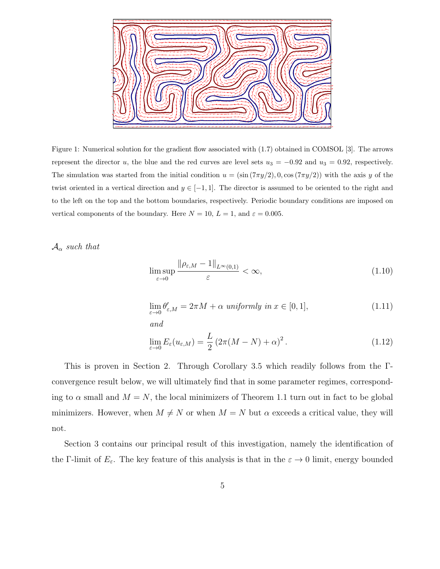

Figure 1: Numerical solution for the gradient flow associated with (1.7) obtained in COMSOL [3]. The arrows represent the director u, the blue and the red curves are level sets  $u_3 = -0.92$  and  $u_3 = 0.92$ , respectively. The simulation was started from the initial condition  $u = (\sin(7\pi y/2), 0, \cos(7\pi y/2))$  with the axis y of the twist oriented in a vertical direction and  $y \in [-1,1]$ . The director is assumed to be oriented to the right and to the left on the top and the bottom boundaries, respectively. Periodic boundary conditions are imposed on vertical components of the boundary. Here  $N = 10$ ,  $L = 1$ , and  $\varepsilon = 0.005$ .

 $A_{\alpha}$  such that

$$
\limsup_{\varepsilon \to 0} \frac{\|\rho_{\varepsilon,M} - 1\|_{L^{\infty}(0,1)}}{\varepsilon} < \infty,\tag{1.10}
$$

$$
\lim_{\varepsilon \to 0} \theta_{\varepsilon,M}' = 2\pi M + \alpha \text{ uniformly in } x \in [0,1],
$$
\n(1.11)

and

$$
\lim_{\varepsilon \to 0} E_{\varepsilon}(u_{\varepsilon,M}) = \frac{L}{2} \left( 2\pi (M - N) + \alpha \right)^2.
$$
\n(1.12)

This is proven in Section 2. Through Corollary 3.5 which readily follows from the Γconvergence result below, we will ultimately find that in some parameter regimes, corresponding to  $\alpha$  small and  $M = N$ , the local minimizers of Theorem 1.1 turn out in fact to be global minimizers. However, when  $M \neq N$  or when  $M = N$  but  $\alpha$  exceeds a critical value, they will not.

Section 3 contains our principal result of this investigation, namely the identification of the Γ-limit of  $E_{\varepsilon}$ . The key feature of this analysis is that in the  $\varepsilon \to 0$  limit, energy bounded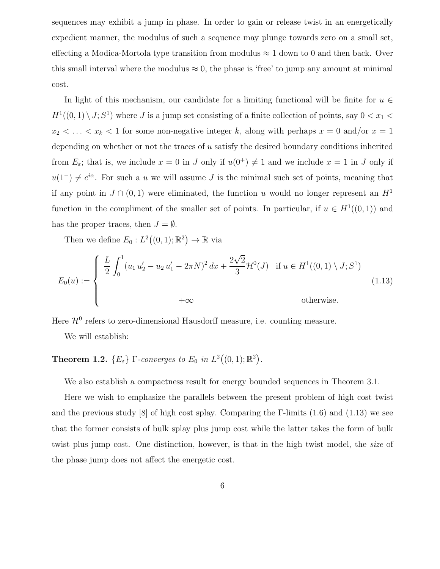sequences may exhibit a jump in phase. In order to gain or release twist in an energetically expedient manner, the modulus of such a sequence may plunge towards zero on a small set, effecting a Modica-Mortola type transition from modulus  $\approx 1$  down to 0 and then back. Over this small interval where the modulus  $\approx 0$ , the phase is 'free' to jump any amount at minimal cost.

In light of this mechanism, our candidate for a limiting functional will be finite for  $u \in$  $H^1((0,1) \setminus J; S^1)$  where J is a jump set consisting of a finite collection of points, say  $0 < x_1 <$  $x_2 < \ldots < x_k < 1$  for some non-negative integer k, along with perhaps  $x = 0$  and/or  $x = 1$ depending on whether or not the traces of  $u$  satisfy the desired boundary conditions inherited from  $E_{\varepsilon}$ ; that is, we include  $x = 0$  in J only if  $u(0^+) \neq 1$  and we include  $x = 1$  in J only if  $u(1^-) \neq e^{i\alpha}$ . For such a u we will assume J is the minimal such set of points, meaning that if any point in  $J \cap (0,1)$  were eliminated, the function u would no longer represent an  $H<sup>1</sup>$ function in the compliment of the smaller set of points. In particular, if  $u \in H^1((0,1))$  and has the proper traces, then  $J = \emptyset$ .

Then we define  $E_0: L^2((0,1);\mathbb{R}^2) \to \mathbb{R}$  via

$$
E_0(u) := \begin{cases} \frac{L}{2} \int_0^1 (u_1 u_2' - u_2 u_1' - 2\pi N)^2 dx + \frac{2\sqrt{2}}{3} \mathcal{H}^0(J) & \text{if } u \in H^1((0,1) \setminus J; S^1) \\ +\infty & \text{otherwise.} \end{cases}
$$
(1.13)

Here  $\mathcal{H}^0$  refers to zero-dimensional Hausdorff measure, i.e. counting measure.

We will establish:

# **Theorem 1.2.**  $\{E_{\varepsilon}\}\Gamma$ -converges to  $E_0$  in  $L^2((0,1);\mathbb{R}^2)$ .

We also establish a compactness result for energy bounded sequences in Theorem 3.1.

Here we wish to emphasize the parallels between the present problem of high cost twist and the previous study [8] of high cost splay. Comparing the Γ-limits  $(1.6)$  and  $(1.13)$  we see that the former consists of bulk splay plus jump cost while the latter takes the form of bulk twist plus jump cost. One distinction, however, is that in the high twist model, the size of the phase jump does not affect the energetic cost.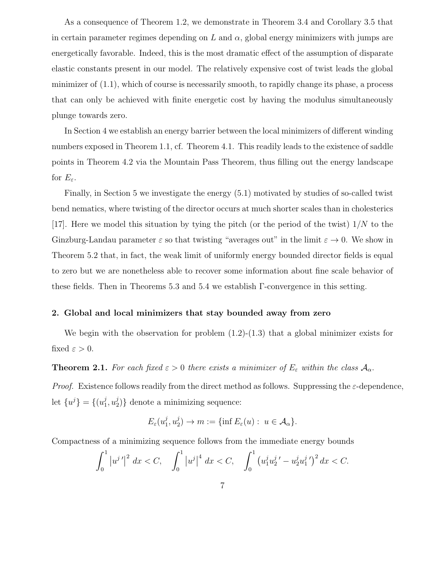As a consequence of Theorem 1.2, we demonstrate in Theorem 3.4 and Corollary 3.5 that in certain parameter regimes depending on L and  $\alpha$ , global energy minimizers with jumps are energetically favorable. Indeed, this is the most dramatic effect of the assumption of disparate elastic constants present in our model. The relatively expensive cost of twist leads the global minimizer of  $(1.1)$ , which of course is necessarily smooth, to rapidly change its phase, a process that can only be achieved with finite energetic cost by having the modulus simultaneously plunge towards zero.

In Section 4 we establish an energy barrier between the local minimizers of different winding numbers exposed in Theorem 1.1, cf. Theorem 4.1. This readily leads to the existence of saddle points in Theorem 4.2 via the Mountain Pass Theorem, thus filling out the energy landscape for  $E_{\varepsilon}$ .

Finally, in Section 5 we investigate the energy (5.1) motivated by studies of so-called twist bend nematics, where twisting of the director occurs at much shorter scales than in cholesterics [17]. Here we model this situation by tying the pitch (or the period of the twist)  $1/N$  to the Ginzburg-Landau parameter  $\varepsilon$  so that twisting "averages out" in the limit  $\varepsilon \to 0$ . We show in Theorem 5.2 that, in fact, the weak limit of uniformly energy bounded director fields is equal to zero but we are nonetheless able to recover some information about fine scale behavior of these fields. Then in Theorems 5.3 and 5.4 we establish Γ-convergence in this setting.

### 2. Global and local minimizers that stay bounded away from zero

We begin with the observation for problem  $(1.2)-(1.3)$  that a global minimizer exists for fixed  $\varepsilon > 0$ .

**Theorem 2.1.** For each fixed  $\varepsilon > 0$  there exists a minimizer of  $E_{\varepsilon}$  within the class  $\mathcal{A}_{\alpha}$ .

*Proof.* Existence follows readily from the direct method as follows. Suppressing the  $\varepsilon$ -dependence, let  $\{u^{j}\} = \{(u_1^{j})\}$  $j_1^j,u_2^j$  $2\binom{1}{2}$  denote a minimizing sequence:

$$
E_{\varepsilon}(u_1^j, u_2^j) \to m := \{\inf E_{\varepsilon}(u) : u \in \mathcal{A}_{\alpha}\}.
$$

Compactness of a minimizing sequence follows from the immediate energy bounds

$$
\int_0^1 \left| u^{j'} \right|^2 \, dx < C, \quad \int_0^1 \left| u^{j} \right|^4 \, dx < C, \quad \int_0^1 \left( u_1^j u_2^{j'} - u_2^j u_1^{j'} \right)^2 \, dx < C.
$$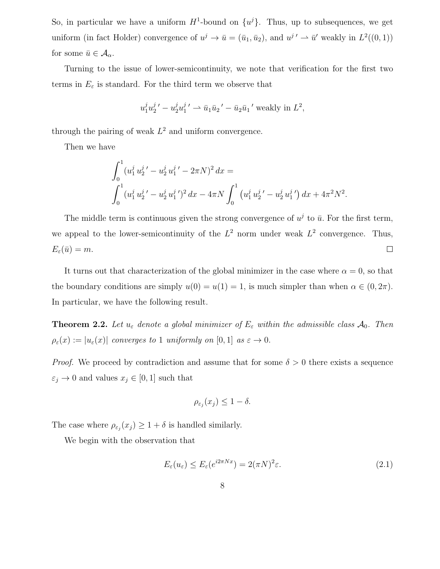So, in particular we have a uniform  $H^1$ -bound on  $\{u^j\}$ . Thus, up to subsequences, we get uniform (in fact Holder) convergence of  $u^j \to \bar{u} = (\bar{u}_1, \bar{u}_2)$ , and  $u^{j'} \to \bar{u}'$  weakly in  $L^2((0,1))$ for some  $\bar{u} \in \mathcal{A}_{\alpha}$ .

Turning to the issue of lower-semicontinuity, we note that verification for the first two terms in  $E_{\varepsilon}$  is standard. For the third term we observe that

$$
u_1^j u_2^{j'} - u_2^j u_1^{j'} \rightharpoonup \bar{u}_1 \bar{u}_2' - \bar{u}_2 \bar{u}_1'
$$
 weakly in  $L^2$ ,

through the pairing of weak  $L^2$  and uniform convergence.

Then we have

$$
\int_0^1 (u_1^j u_2^{j'} - u_2^j u_1^{j'} - 2\pi N)^2 dx =
$$
  

$$
\int_0^1 (u_1^j u_2^{j'} - u_2^j u_1^{j'})^2 dx - 4\pi N \int_0^1 (u_1^j u_2^{j'} - u_2^j u_1^{j'}) dx + 4\pi^2 N^2.
$$

The middle term is continuous given the strong convergence of  $u^j$  to  $\bar{u}$ . For the first term, we appeal to the lower-semicontinuity of the  $L^2$  norm under weak  $L^2$  convergence. Thus,  $\Box$  $E_{\varepsilon}(\bar{u}) = m.$ 

It turns out that characterization of the global minimizer in the case where  $\alpha = 0$ , so that the boundary conditions are simply  $u(0) = u(1) = 1$ , is much simpler than when  $\alpha \in (0, 2\pi)$ . In particular, we have the following result.

**Theorem 2.2.** Let  $u_{\varepsilon}$  denote a global minimizer of  $E_{\varepsilon}$  within the admissible class  $\mathcal{A}_0$ . Then  $\rho_{\varepsilon}(x) := |u_{\varepsilon}(x)|$  converges to 1 uniformly on [0, 1] as  $\varepsilon \to 0$ .

*Proof.* We proceed by contradiction and assume that for some  $\delta > 0$  there exists a sequence  $\varepsilon_j \to 0$  and values  $x_j \in [0, 1]$  such that

$$
\rho_{\varepsilon_j}(x_j) \le 1 - \delta.
$$

The case where  $\rho_{\varepsilon_j}(x_j) \geq 1 + \delta$  is handled similarly.

We begin with the observation that

$$
E_{\varepsilon}(u_{\varepsilon}) \le E_{\varepsilon}(e^{i2\pi Nx}) = 2(\pi N)^2 \varepsilon. \tag{2.1}
$$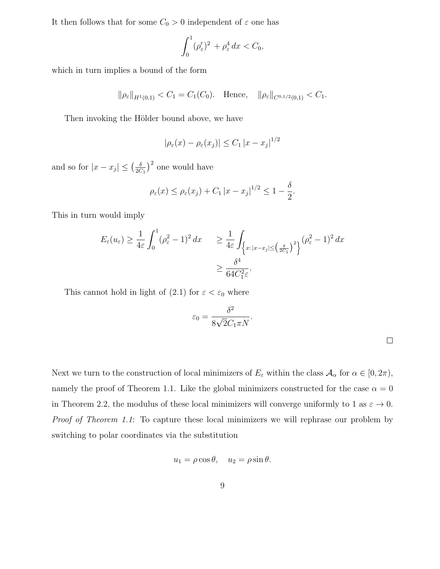It then follows that for some  $C_0 > 0$  independent of  $\varepsilon$  one has

$$
\int_0^1 (\rho_\varepsilon')^2 + \rho_\varepsilon^4 dx < C_0,
$$

which in turn implies a bound of the form

$$
\|\rho_{\varepsilon}\|_{H^1(0,1)} < C_1 = C_1(C_0).
$$
 Hence,  $\|\rho_{\varepsilon}\|_{C^{0,1/2}(0,1)} < C_1.$ 

Then invoking the Hölder bound above, we have

$$
|\rho_\varepsilon(x)-\rho_\varepsilon(x_j)|\leq C_1\,|x-x_j|^{1/2}
$$

and so for  $|x - x_j| \leq (\frac{\delta}{2C})$  $\frac{\delta}{2C_1}$ <sup>2</sup> one would have

$$
\rho_{\varepsilon}(x) \le \rho_{\varepsilon}(x_j) + C_1 |x - x_j|^{1/2} \le 1 - \frac{\delta}{2}.
$$

This in turn would imply

$$
E_{\varepsilon}(u_{\varepsilon}) \ge \frac{1}{4\varepsilon} \int_0^1 (\rho_{\varepsilon}^2 - 1)^2 dx \ge \frac{1}{4\varepsilon} \int_{\left\{x: |x - x_j| \le \left(\frac{\delta}{2C_1}\right)^2\right\}} (\rho_{\varepsilon}^2 - 1)^2 dx
$$
  

$$
\ge \frac{\delta^4}{64C_1^2\varepsilon}.
$$

This cannot hold in light of (2.1) for  $\varepsilon < \varepsilon_0$  where

$$
\varepsilon_0 = \frac{\delta^2}{8\sqrt{2}C_1\pi N}.
$$

Next we turn to the construction of local minimizers of  $E_{\varepsilon}$  within the class  $A_{\alpha}$  for  $\alpha \in [0, 2\pi)$ , namely the proof of Theorem 1.1. Like the global minimizers constructed for the case  $\alpha = 0$ in Theorem 2.2, the modulus of these local minimizers will converge uniformly to 1 as  $\varepsilon \to 0$ . Proof of Theorem 1.1: To capture these local minimizers we will rephrase our problem by switching to polar coordinates via the substitution

$$
u_1 = \rho \cos \theta, \quad u_2 = \rho \sin \theta.
$$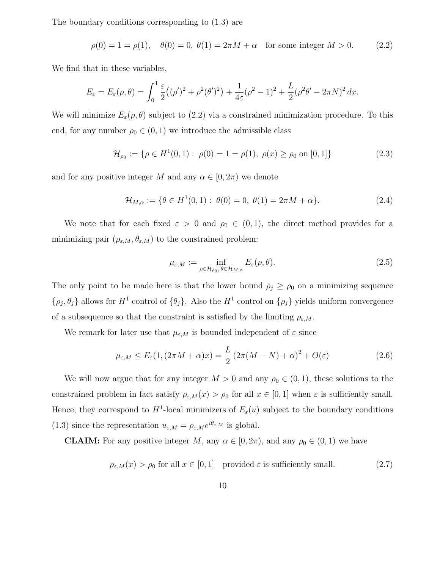The boundary conditions corresponding to (1.3) are

$$
\rho(0) = 1 = \rho(1), \quad \theta(0) = 0, \ \theta(1) = 2\pi M + \alpha \quad \text{for some integer } M > 0.
$$
 (2.2)

We find that in these variables,

$$
E_{\varepsilon} = E_{\varepsilon}(\rho,\theta) = \int_0^1 \frac{\varepsilon}{2} ((\rho')^2 + \rho^2(\theta')^2) + \frac{1}{4\varepsilon} (\rho^2 - 1)^2 + \frac{L}{2} (\rho^2 \theta' - 2\pi N)^2 dx.
$$

We will minimize  $E_{\varepsilon}(\rho,\theta)$  subject to (2.2) via a constrained minimization procedure. To this end, for any number  $\rho_0 \in (0, 1)$  we introduce the admissible class

$$
\mathcal{H}_{\rho_0} := \{ \rho \in H^1(0,1) : \ \rho(0) = 1 = \rho(1), \ \rho(x) \ge \rho_0 \text{ on } [0,1] \} \tag{2.3}
$$

and for any positive integer M and any  $\alpha \in [0, 2\pi)$  we denote

$$
\mathcal{H}_{M,\alpha} := \{ \theta \in H^1(0,1) : \ \theta(0) = 0, \ \theta(1) = 2\pi M + \alpha \}. \tag{2.4}
$$

We note that for each fixed  $\varepsilon > 0$  and  $\rho_0 \in (0,1)$ , the direct method provides for a minimizing pair  $(\rho_{\varepsilon,M}, \theta_{\varepsilon,M})$  to the constrained problem:

$$
\mu_{\varepsilon,M} := \inf_{\rho \in \mathcal{H}_{\rho_0}, \theta \in \mathcal{H}_{M,\alpha}} E_{\varepsilon}(\rho,\theta). \tag{2.5}
$$

The only point to be made here is that the lower bound  $\rho_j \ge \rho_0$  on a minimizing sequence  $\{\rho_j, \theta_j\}$  allows for  $H^1$  control of  $\{\theta_j\}$ . Also the  $H^1$  control on  $\{\rho_j\}$  yields uniform convergence of a subsequence so that the constraint is satisfied by the limiting  $\rho_{\varepsilon,M}$ .

We remark for later use that  $\mu_{\varepsilon,M}$  is bounded independent of  $\varepsilon$  since

$$
\mu_{\varepsilon,M} \le E_{\varepsilon}(1,(2\pi M + \alpha)x) = \frac{L}{2}(2\pi (M - N) + \alpha)^2 + O(\varepsilon)
$$
\n(2.6)

We will now argue that for any integer  $M > 0$  and any  $\rho_0 \in (0,1)$ , these solutions to the constrained problem in fact satisfy  $\rho_{\varepsilon,M}(x) > \rho_0$  for all  $x \in [0,1]$  when  $\varepsilon$  is sufficiently small. Hence, they correspond to  $H^1$ -local minimizers of  $E_\varepsilon(u)$  subject to the boundary conditions (1.3) since the representation  $u_{\varepsilon,M} = \rho_{\varepsilon,M} e^{i\theta_{\varepsilon,M}}$  is global.

**CLAIM:** For any positive integer M, any  $\alpha \in [0, 2\pi)$ , and any  $\rho_0 \in (0, 1)$  we have

$$
\rho_{\varepsilon,M}(x) > \rho_0 \text{ for all } x \in [0,1] \quad \text{provided } \varepsilon \text{ is sufficiently small.} \tag{2.7}
$$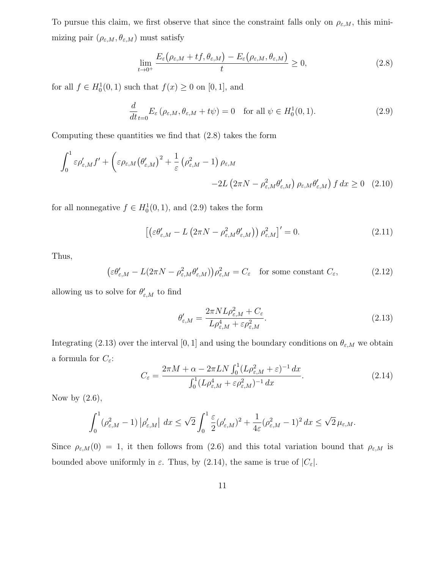To pursue this claim, we first observe that since the constraint falls only on  $\rho_{\varepsilon,M}$ , this minimizing pair  $(\rho_{\varepsilon,M}, \theta_{\varepsilon,M})$  must satisfy

$$
\lim_{t \to 0^+} \frac{E_{\varepsilon}(\rho_{\varepsilon,M} + tf, \theta_{\varepsilon,M}) - E_{\varepsilon}(\rho_{\varepsilon,M}, \theta_{\varepsilon,M})}{t} \ge 0,
$$
\n(2.8)

for all  $f \in H_0^1(0,1)$  such that  $f(x) \ge 0$  on  $[0,1]$ , and

$$
\frac{d}{dt}_{t=0} E_{\varepsilon} \left( \rho_{\varepsilon,M}, \theta_{\varepsilon,M} + t\psi \right) = 0 \quad \text{for all } \psi \in H_0^1(0,1). \tag{2.9}
$$

Computing these quantities we find that (2.8) takes the form

$$
\int_0^1 \varepsilon \rho'_{\varepsilon,M} f' + \left( \varepsilon \rho_{\varepsilon,M} \left( \theta'_{\varepsilon,M} \right)^2 + \frac{1}{\varepsilon} \left( \rho_{\varepsilon,M}^2 - 1 \right) \rho_{\varepsilon,M} - 2L \left( 2\pi N - \rho_{\varepsilon,M}^2 \theta'_{\varepsilon,M} \right) \rho_{\varepsilon,M} \theta'_{\varepsilon,M} \right) f \, dx \ge 0 \tag{2.10}
$$

for all nonnegative  $f \in H_0^1(0,1)$ , and  $(2.9)$  takes the form

$$
\left[ \left( \varepsilon \theta_{\varepsilon,M}^{\prime} - L \left( 2\pi N - \rho_{\varepsilon,M}^{2} \theta_{\varepsilon,M}^{\prime} \right) \right) \rho_{\varepsilon,M}^{2} \right]' = 0. \tag{2.11}
$$

Thus,

$$
\left(\varepsilon \theta_{\varepsilon,M}' - L(2\pi N - \rho_{\varepsilon,M}^2 \theta_{\varepsilon,M}')\right) \rho_{\varepsilon,M}^2 = C_{\varepsilon} \quad \text{for some constant } C_{\varepsilon},\tag{2.12}
$$

allowing us to solve for  $\theta'_{\varepsilon,M}$  to find

$$
\theta'_{\varepsilon,M} = \frac{2\pi N L \rho_{\varepsilon,M}^2 + C_{\varepsilon}}{L \rho_{\varepsilon,M}^4 + \varepsilon \rho_{\varepsilon,M}^2}.
$$
\n(2.13)

Integrating (2.13) over the interval [0, 1] and using the boundary conditions on  $\theta_{\varepsilon,M}$  we obtain a formula for  $C_{\varepsilon}$ :

$$
C_{\varepsilon} = \frac{2\pi M + \alpha - 2\pi LN \int_0^1 (L\rho_{\varepsilon,M}^2 + \varepsilon)^{-1} dx}{\int_0^1 (L\rho_{\varepsilon,M}^4 + \varepsilon \rho_{\varepsilon,M}^2)^{-1} dx}.
$$
 (2.14)

Now by  $(2.6)$ ,

$$
\int_0^1 (\rho_{\varepsilon,M}^2 - 1) \left| \rho_{\varepsilon,M}' \right| dx \le \sqrt{2} \int_0^1 \frac{\varepsilon}{2} (\rho_{\varepsilon,M}')^2 + \frac{1}{4\varepsilon} (\rho_{\varepsilon,M}^2 - 1)^2 dx \le \sqrt{2} \,\mu_{\varepsilon,M}.
$$

Since  $\rho_{\varepsilon,M}(0) = 1$ , it then follows from (2.6) and this total variation bound that  $\rho_{\varepsilon,M}$  is bounded above uniformly in  $\varepsilon$ . Thus, by (2.14), the same is true of  $|C_{\varepsilon}|$ .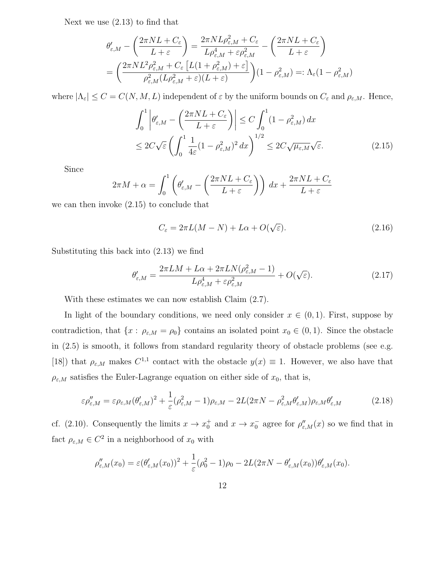Next we use (2.13) to find that

$$
\theta'_{\varepsilon,M} - \left(\frac{2\pi NL + C_{\varepsilon}}{L + \varepsilon}\right) = \frac{2\pi NL \rho_{\varepsilon,M}^2 + C_{\varepsilon}}{L \rho_{\varepsilon,M}^4 + \varepsilon \rho_{\varepsilon,M}^2} - \left(\frac{2\pi NL + C_{\varepsilon}}{L + \varepsilon}\right)
$$

$$
= \left(\frac{2\pi NL^2 \rho_{\varepsilon,M}^2 + C_{\varepsilon} \left[L(1 + \rho_{\varepsilon,M}^2) + \varepsilon\right]}{\rho_{\varepsilon,M}^2 (L \rho_{\varepsilon,M}^2 + \varepsilon)(L + \varepsilon)}\right) (1 - \rho_{\varepsilon,M}^2) =: \Lambda_{\varepsilon}(1 - \rho_{\varepsilon,M}^2)
$$

where  $|\Lambda_{\varepsilon}| \leq C = C(N, M, L)$  independent of  $\varepsilon$  by the uniform bounds on  $C_{\varepsilon}$  and  $\rho_{\varepsilon, M}$ . Hence,

$$
\int_0^1 \left| \theta'_{\varepsilon,M} - \left( \frac{2\pi NL + C_{\varepsilon}}{L + \varepsilon} \right) \right| \le C \int_0^1 (1 - \rho_{\varepsilon,M}^2) dx
$$
  

$$
\le 2C\sqrt{\varepsilon} \left( \int_0^1 \frac{1}{4\varepsilon} (1 - \rho_{\varepsilon,M}^2)^2 dx \right)^{1/2} \le 2C\sqrt{\mu_{\varepsilon,M}}\sqrt{\varepsilon}.
$$
 (2.15)

Since

$$
2\pi M + \alpha = \int_0^1 \left( \theta'_{\varepsilon,M} - \left( \frac{2\pi NL + C_{\varepsilon}}{L + \varepsilon} \right) \right) dx + \frac{2\pi NL + C_{\varepsilon}}{L + \varepsilon}
$$

we can then invoke (2.15) to conclude that

$$
C_{\varepsilon} = 2\pi L(M - N) + L\alpha + O(\sqrt{\varepsilon}).
$$
\n(2.16)

Substituting this back into (2.13) we find

$$
\theta'_{\varepsilon,M} = \frac{2\pi LM + L\alpha + 2\pi LN(\rho_{\varepsilon,M}^2 - 1)}{L\rho_{\varepsilon,M}^4 + \varepsilon\rho_{\varepsilon,M}^2} + O(\sqrt{\varepsilon}).\tag{2.17}
$$

With these estimates we can now establish Claim (2.7).

In light of the boundary conditions, we need only consider  $x \in (0,1)$ . First, suppose by contradiction, that  $\{x : \rho_{\varepsilon,M} = \rho_0\}$  contains an isolated point  $x_0 \in (0,1)$ . Since the obstacle in (2.5) is smooth, it follows from standard regularity theory of obstacle problems (see e.g. [18]) that  $\rho_{\varepsilon,M}$  makes  $C^{1,1}$  contact with the obstacle  $y(x) \equiv 1$ . However, we also have that  $\rho_{\varepsilon,M}$  satisfies the Euler-Lagrange equation on either side of  $x_0$ , that is,

$$
\varepsilon \rho''_{\varepsilon,M} = \varepsilon \rho_{\varepsilon,M} (\theta'_{\varepsilon,M})^2 + \frac{1}{\varepsilon} (\rho_{\varepsilon,M}^2 - 1) \rho_{\varepsilon,M} - 2L(2\pi N - \rho_{\varepsilon,M}^2 \theta'_{\varepsilon,M}) \rho_{\varepsilon,M} \theta'_{\varepsilon,M}
$$
(2.18)

cf. (2.10). Consequently the limits  $x \to x_0^+$  and  $x \to x_0^-$  agree for  $\rho''_{\varepsilon,M}(x)$  so we find that in fact  $\rho_{\varepsilon,M} \in C^2$  in a neighborhood of  $x_0$  with

$$
\rho''_{\varepsilon,M}(x_0)=\varepsilon(\theta'_{\varepsilon,M}(x_0))^2+\frac{1}{\varepsilon}(\rho_0^2-1)\rho_0-2L(2\pi N-\theta'_{\varepsilon,M}(x_0))\theta'_{\varepsilon,M}(x_0).
$$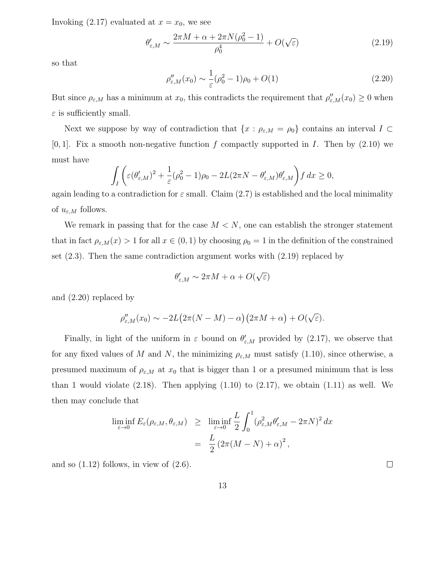Invoking  $(2.17)$  evaluated at  $x = x_0$ , we see

$$
\theta'_{\varepsilon,M} \sim \frac{2\pi M + \alpha + 2\pi N(\rho_0^2 - 1)}{\rho_0^4} + O(\sqrt{\varepsilon})
$$
\n(2.19)

so that

$$
\rho''_{\varepsilon,M}(x_0) \sim \frac{1}{\varepsilon} (\rho_0^2 - 1)\rho_0 + O(1)
$$
\n(2.20)

But since  $\rho_{\varepsilon,M}$  has a minimum at  $x_0$ , this contradicts the requirement that  $\rho''_{\varepsilon,M}(x_0) \geq 0$  when  $\varepsilon$  is sufficiently small.

Next we suppose by way of contradiction that  $\{x : \rho_{\varepsilon,M} = \rho_0\}$  contains an interval  $I \subset$  $[0, 1]$ . Fix a smooth non-negative function f compactly supported in I. Then by  $(2.10)$  we must have

$$
\int_{I} \left( \varepsilon (\theta'_{\varepsilon,M})^2 + \frac{1}{\varepsilon} (\rho_0^2 - 1) \rho_0 - 2L(2\pi N - \theta'_{\varepsilon,M}) \theta'_{\varepsilon,M} \right) f \, dx \ge 0,
$$

again leading to a contradiction for  $\varepsilon$  small. Claim (2.7) is established and the local minimality of  $u_{\varepsilon,M}$  follows.

We remark in passing that for the case  $M < N$ , one can establish the stronger statement that in fact  $\rho_{\varepsilon,M}(x) > 1$  for all  $x \in (0,1)$  by choosing  $\rho_0 = 1$  in the definition of the constrained set (2.3). Then the same contradiction argument works with (2.19) replaced by

$$
\theta'_{\varepsilon,M} \sim 2\pi M + \alpha + O(\sqrt{\varepsilon})
$$

and (2.20) replaced by

$$
\rho''_{\varepsilon,M}(x_0) \sim -2L\big(2\pi(N-M)-\alpha\big)\big(2\pi M+\alpha\big)+O(\sqrt{\varepsilon}).
$$

Finally, in light of the uniform in  $\varepsilon$  bound on  $\theta'_{\varepsilon,M}$  provided by (2.17), we observe that for any fixed values of M and N, the minimizing  $\rho_{\varepsilon,M}$  must satisfy (1.10), since otherwise, a presumed maximum of  $\rho_{\varepsilon,M}$  at  $x_0$  that is bigger than 1 or a presumed minimum that is less than 1 would violate  $(2.18)$ . Then applying  $(1.10)$  to  $(2.17)$ , we obtain  $(1.11)$  as well. We then may conclude that

$$
\liminf_{\varepsilon \to 0} E_{\varepsilon}(\rho_{\varepsilon,M}, \theta_{\varepsilon,M}) \geq \liminf_{\varepsilon \to 0} \frac{L}{2} \int_0^1 (\rho_{\varepsilon,M}^2 \theta_{\varepsilon,M}' - 2\pi N)^2 dx
$$

$$
= \frac{L}{2} (2\pi (M - N) + \alpha)^2,
$$

and so  $(1.12)$  follows, in view of  $(2.6)$ .

 $\Box$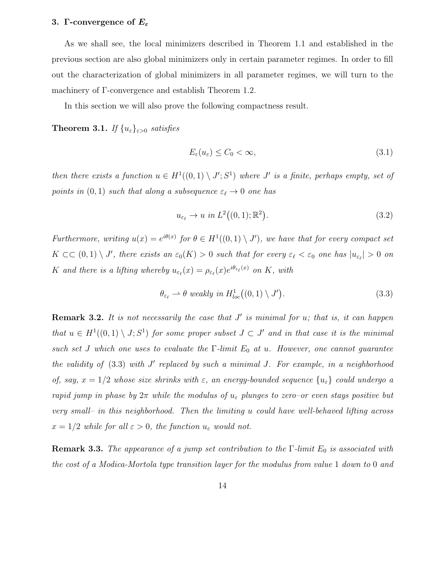### 3. Γ-convergence of  $E_{\varepsilon}$

As we shall see, the local minimizers described in Theorem 1.1 and established in the previous section are also global minimizers only in certain parameter regimes. In order to fill out the characterization of global minimizers in all parameter regimes, we will turn to the machinery of Γ-convergence and establish Theorem 1.2.

In this section we will also prove the following compactness result.

**Theorem 3.1.** If  $\{u_{\varepsilon}\}_{{\varepsilon}>0}$  satisfies

$$
E_{\varepsilon}(u_{\varepsilon}) \le C_0 < \infty,\tag{3.1}
$$

then there exists a function  $u \in H^1((0,1) \setminus J'; S^1)$  where  $J'$  is a finite, perhaps empty, set of points in  $(0, 1)$  such that along a subsequence  $\varepsilon_{\ell} \to 0$  one has

$$
u_{\varepsilon_{\ell}} \to u \text{ in } L^2((0,1); \mathbb{R}^2). \tag{3.2}
$$

Furthermore, writing  $u(x) = e^{i\theta(x)}$  for  $\theta \in H^1((0,1) \setminus J')$ , we have that for every compact set  $K \subset\subset (0,1) \setminus J'$ , there exists an  $\varepsilon_0(K) > 0$  such that for every  $\varepsilon_\ell < \varepsilon_0$  one has  $|u_{\varepsilon_\ell}| > 0$  on K and there is a lifting whereby  $u_{\varepsilon_{\ell}}(x) = \rho_{\varepsilon_{\ell}}(x)e^{i\theta_{\varepsilon_{\ell}}(x)}$  on K, with

$$
\theta_{\varepsilon_{\ell}} \rightharpoonup \theta \ weakly \ in \ H_{loc}^{1}((0,1) \setminus J'). \tag{3.3}
$$

**Remark 3.2.** It is not necessarily the case that  $J'$  is minimal for  $u$ ; that is, it can happen that  $u \in H^1((0,1) \setminus J; S^1)$  for some proper subset  $J \subset J'$  and in that case it is the minimal such set J which one uses to evaluate the  $\Gamma$ -limit  $E_0$  at u. However, one cannot guarantee the validity of  $(3.3)$  with  $J'$  replaced by such a minimal  $J$ . For example, in a neighborhood of, say,  $x = 1/2$  whose size shrinks with  $\varepsilon$ , an energy-bounded sequence  $\{u_{\varepsilon}\}\$ could undergo a rapid jump in phase by  $2\pi$  while the modulus of  $u_{\varepsilon}$  plunges to zero–or even stays positive but very small– in this neighborhood. Then the limiting u could have well-behaved lifting across  $x = 1/2$  while for all  $\varepsilon > 0$ , the function  $u_{\varepsilon}$  would not.

**Remark 3.3.** The appearance of a jump set contribution to the  $\Gamma$ -limit  $E_0$  is associated with the cost of a Modica-Mortola type transition layer for the modulus from value 1 down to 0 and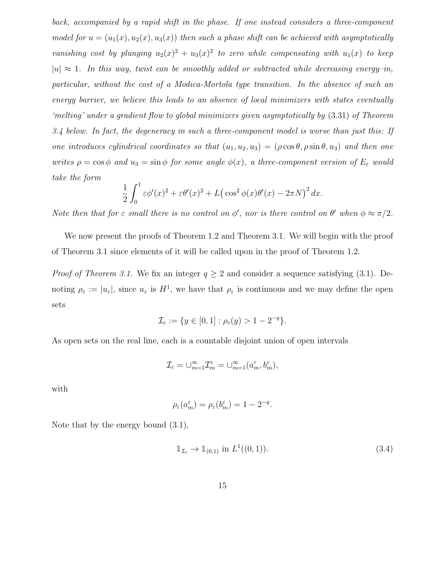back, accompanied by a rapid shift in the phase. If one instead considers a three-component model for  $u = (u_1(x), u_2(x), u_3(x))$  then such a phase shift can be achieved with asymptotically vanishing cost by plunging  $u_2(x)^2 + u_3(x)^2$  to zero while compensating with  $u_1(x)$  to keep  $|u| \approx 1$ . In this way, twist can be smoothly added or subtracted while decreasing energy–in, particular, without the cost of a Modica-Mortola type transition. In the absence of such an energy barrier, we believe this leads to an absence of local minimizers with states eventually 'melting' under a gradient flow to global minimizers given asymptotically by (3.31) of Theorem 3.4 below. In fact, the degeneracy in such a three-component model is worse than just this: If one introduces cylindrical coordinates so that  $(u_1, u_2, u_3) = (\rho \cos \theta, \rho \sin \theta, u_3)$  and then one writes  $\rho = \cos \phi$  and  $u_3 = \sin \phi$  for some angle  $\phi(x)$ , a three-component version of  $E_{\varepsilon}$  would take the form

$$
\frac{1}{2} \int_0^1 \varepsilon \phi'(x)^2 + \varepsilon \theta'(x)^2 + L(\cos^2 \phi(x)\theta'(x) - 2\pi N)^2 dx.
$$

Note then that for  $\varepsilon$  small there is no control on  $\phi'$ , nor is there control on  $\theta'$  when  $\phi \approx \pi/2$ .

We now present the proofs of Theorem 1.2 and Theorem 3.1. We will begin with the proof of Theorem 3.1 since elements of it will be called upon in the proof of Theorem 1.2.

*Proof of Theorem 3.1.* We fix an integer  $q \geq 2$  and consider a sequence satisfying (3.1). Denoting  $\rho_{\varepsilon} := |u_{\varepsilon}|$ , since  $u_{\varepsilon}$  is  $H^1$ , we have that  $\rho_{\varepsilon}$  is continuous and we may define the open sets

$$
\mathcal{I}_{\varepsilon} := \{ y \in [0,1] : \rho_{\varepsilon}(y) > 1 - 2^{-q} \}.
$$

As open sets on the real line, each is a countable disjoint union of open intervals

$$
\mathcal{I}_\varepsilon = \cup_{m=1}^\infty \mathcal{I}_m^\varepsilon = \cup_{m=1}^\infty (a_m^\varepsilon, b_m^\varepsilon),
$$

with

$$
\rho_\varepsilon(a_m^\varepsilon)=\rho_\varepsilon(b_m^\varepsilon)=1-2^{-q}.
$$

Note that by the energy bound (3.1),

$$
\mathbb{1}_{\mathcal{I}_{\varepsilon}} \to \mathbb{1}_{(0,1)} \text{ in } L^1((0,1)). \tag{3.4}
$$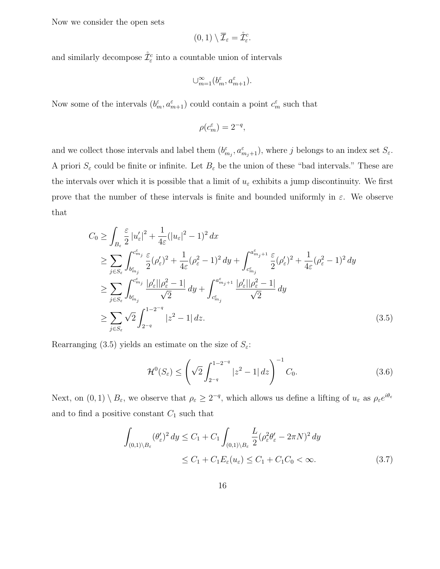Now we consider the open sets

$$
(0,1)\setminus \overline{\mathcal{I}}_{\varepsilon}=\mathring{\mathcal{I}}_{\varepsilon}^c.
$$

and similarly decompose  $\mathring{\mathcal{I}}^c_{\varepsilon}$  into a countable union of intervals

$$
\cup_{m=1}^{\infty}(b_{m}^{\varepsilon},a_{m+1}^{\varepsilon}).
$$

Now some of the intervals  $(b_m^{\varepsilon}, a_{m+1}^{\varepsilon})$  could contain a point  $c_m^{\varepsilon}$  such that

$$
\rho(c_m^\varepsilon)=2^{-q},
$$

and we collect those intervals and label them  $(b_{m_j}^{\varepsilon}, a_{m_j+1}^{\varepsilon})$ , where j belongs to an index set  $S_{\varepsilon}$ . A priori  $S_{\varepsilon}$  could be finite or infinite. Let  $B_{\varepsilon}$  be the union of these "bad intervals." These are the intervals over which it is possible that a limit of  $u_{\varepsilon}$  exhibits a jump discontinuity. We first prove that the number of these intervals is finite and bounded uniformly in  $\varepsilon$ . We observe that

$$
C_0 \ge \int_{B_{\varepsilon}} \frac{\varepsilon}{2} |u'_{\varepsilon}|^2 + \frac{1}{4\varepsilon} (|u_{\varepsilon}|^2 - 1)^2 dx
$$
  
\n
$$
\ge \sum_{j \in S_{\varepsilon}} \int_{b_{m_j}^{\varepsilon}}^{c_{m_j}^{\varepsilon}} \frac{\varepsilon}{2} (\rho'_{\varepsilon})^2 + \frac{1}{4\varepsilon} (\rho_{\varepsilon}^2 - 1)^2 dy + \int_{c_{m_j}^{\varepsilon}}^{a_{m_j+1}^{\varepsilon}} \frac{\varepsilon}{2} (\rho'_{\varepsilon})^2 + \frac{1}{4\varepsilon} (\rho_{\varepsilon}^2 - 1)^2 dy
$$
  
\n
$$
\ge \sum_{j \in S_{\varepsilon}} \int_{b_{m_j}^{\varepsilon}}^{c_{m_j}^{\varepsilon}} \frac{|\rho'_{\varepsilon}| |\rho_{\varepsilon}^2 - 1|}{\sqrt{2}} dy + \int_{c_{m_j}^{\varepsilon}}^{a_{m_j+1}^{\varepsilon}} \frac{|\rho'_{\varepsilon}| |\rho_{\varepsilon}^2 - 1|}{\sqrt{2}} dy
$$
  
\n
$$
\ge \sum_{j \in S_{\varepsilon}} \sqrt{2} \int_{2^{-q}}^{1-2^{-q}} |z^2 - 1| dz.
$$
 (3.5)

Rearranging (3.5) yields an estimate on the size of  $S_{\varepsilon}$ :

$$
\mathcal{H}^0(S_{\varepsilon}) \le \left(\sqrt{2} \int_{2^{-q}}^{1-2^{-q}} |z^2 - 1| \, dz\right)^{-1} C_0. \tag{3.6}
$$

Next, on  $(0,1) \setminus B_{\varepsilon}$ , we observe that  $\rho_{\varepsilon} \geq 2^{-q}$ , which allows us define a lifting of  $u_{\varepsilon}$  as  $\rho_{\varepsilon}e^{i\theta_{\varepsilon}}$ and to find a positive constant  $C_1$  such that

$$
\int_{(0,1)\backslash B_{\varepsilon}} (\theta_{\varepsilon}')^2 dy \le C_1 + C_1 \int_{(0,1)\backslash B_{\varepsilon}} \frac{L}{2} (\rho_{\varepsilon}^2 \theta_{\varepsilon}' - 2\pi N)^2 dy
$$
\n
$$
\le C_1 + C_1 E_{\varepsilon}(u_{\varepsilon}) \le C_1 + C_1 C_0 < \infty.
$$
\n(3.7)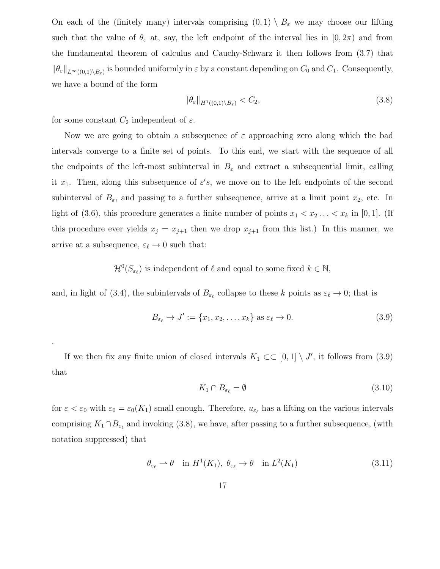On each of the (finitely many) intervals comprising  $(0,1) \setminus B_{\varepsilon}$  we may choose our lifting such that the value of  $\theta_{\varepsilon}$  at, say, the left endpoint of the interval lies in  $[0, 2\pi)$  and from the fundamental theorem of calculus and Cauchy-Schwarz it then follows from (3.7) that  $\|\theta_{\varepsilon}\|_{L^{\infty}((0,1)\setminus B_{\varepsilon})}$  is bounded uniformly in  $\varepsilon$  by a constant depending on  $C_0$  and  $C_1$ . Consequently, we have a bound of the form

$$
\|\theta_{\varepsilon}\|_{H^1((0,1)\setminus B_{\varepsilon})} < C_2,\tag{3.8}
$$

for some constant  $C_2$  independent of  $\varepsilon$ .

.

Now we are going to obtain a subsequence of  $\varepsilon$  approaching zero along which the bad intervals converge to a finite set of points. To this end, we start with the sequence of all the endpoints of the left-most subinterval in  $B_{\varepsilon}$  and extract a subsequential limit, calling it  $x_1$ . Then, along this subsequence of  $\varepsilon's$ , we move on to the left endpoints of the second subinterval of  $B_{\varepsilon}$ , and passing to a further subsequence, arrive at a limit point  $x_2$ , etc. In light of (3.6), this procedure generates a finite number of points  $x_1 < x_2 \ldots < x_k$  in [0, 1]. (If this procedure ever yields  $x_j = x_{j+1}$  then we drop  $x_{j+1}$  from this list.) In this manner, we arrive at a subsequence,  $\varepsilon_{\ell} \to 0$  such that:

 $\mathcal{H}^0(S_{\varepsilon_\ell})$  is independent of  $\ell$  and equal to some fixed  $k \in \mathbb{N}$ ,

and, in light of (3.4), the subintervals of  $B_{\varepsilon_{\ell}}$  collapse to these k points as  $\varepsilon_{\ell} \to 0$ ; that is

$$
B_{\varepsilon_{\ell}} \to J' := \{x_1, x_2, \dots, x_k\} \text{ as } \varepsilon_{\ell} \to 0.
$$
 (3.9)

If we then fix any finite union of closed intervals  $K_1 \subset \subset [0,1] \setminus J'$ , it follows from (3.9) that

$$
K_1 \cap B_{\varepsilon_\ell} = \emptyset \tag{3.10}
$$

for  $\varepsilon < \varepsilon_0$  with  $\varepsilon_0 = \varepsilon_0(K_1)$  small enough. Therefore,  $u_{\varepsilon_\ell}$  has a lifting on the various intervals comprising  $K_1 \cap B_{\varepsilon_\ell}$  and invoking (3.8), we have, after passing to a further subsequence, (with notation suppressed) that

$$
\theta_{\varepsilon_{\ell}} \rightharpoonup \theta \quad \text{in } H^1(K_1), \ \theta_{\varepsilon_{\ell}} \to \theta \quad \text{in } L^2(K_1)
$$
\n
$$
(3.11)
$$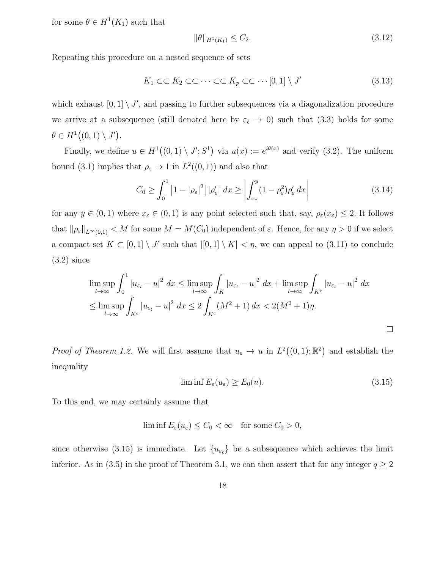for some  $\theta \in H^1(K_1)$  such that

$$
\|\theta\|_{H^1(K_1)} \le C_2. \tag{3.12}
$$

Repeating this procedure on a nested sequence of sets

$$
K_1 \subset\subset K_2 \subset\subset \cdots \subset\subset K_p \subset\subset \cdots [0,1] \setminus J' \tag{3.13}
$$

which exhaust  $[0, 1] \setminus J'$ , and passing to further subsequences via a diagonalization procedure we arrive at a subsequence (still denoted here by  $\varepsilon_\ell \to 0$ ) such that (3.3) holds for some  $\theta \in H^1((0,1) \setminus J')$ .

Finally, we define  $u \in H^1((0,1) \setminus J'; S^1)$  via  $u(x) := e^{i\theta(x)}$  and verify (3.2). The uniform bound (3.1) implies that  $\rho_{\varepsilon} \to 1$  in  $L^2((0,1))$  and also that

$$
C_0 \ge \int_0^1 \left| 1 - |\rho_\varepsilon|^2 \right| |\rho_\varepsilon'| \ dx \ge \left| \int_{x_\varepsilon}^y (1 - \rho_\varepsilon^2) \rho_\varepsilon' \ dx \right| \tag{3.14}
$$

for any  $y \in (0,1)$  where  $x_{\varepsilon} \in (0,1)$  is any point selected such that, say,  $\rho_{\varepsilon}(x_{\varepsilon}) \leq 2$ . It follows that  $\|\rho_{\varepsilon}\|_{L^{\infty}(0,1)} < M$  for some  $M = M(C_0)$  independent of  $\varepsilon$ . Hence, for any  $\eta > 0$  if we select a compact set  $K \subset [0,1] \setminus J'$  such that  $|[0,1] \setminus K| < \eta$ , we can appeal to (3.11) to conclude (3.2) since

$$
\limsup_{l \to \infty} \int_0^1 |u_{\varepsilon_l} - u|^2 \, dx \le \limsup_{l \to \infty} \int_K |u_{\varepsilon_l} - u|^2 \, dx + \limsup_{l \to \infty} \int_{K^c} |u_{\varepsilon_l} - u|^2 \, dx
$$
  
\n
$$
\le \limsup_{l \to \infty} \int_{K^c} |u_{\varepsilon_l} - u|^2 \, dx \le 2 \int_{K^c} (M^2 + 1) \, dx < 2(M^2 + 1)\eta.
$$

*Proof of Theorem 1.2.* We will first assume that  $u_{\varepsilon} \to u$  in  $L^2((0,1); \mathbb{R}^2)$  and establish the inequality

$$
\liminf E_{\varepsilon}(u_{\varepsilon}) \ge E_0(u). \tag{3.15}
$$

To this end, we may certainly assume that

$$
\liminf E_{\varepsilon}(u_{\varepsilon}) \le C_0 < \infty \quad \text{for some } C_0 > 0,
$$

since otherwise (3.15) is immediate. Let  $\{u_{\varepsilon_\ell}\}\$  be a subsequence which achieves the limit inferior. As in (3.5) in the proof of Theorem 3.1, we can then assert that for any integer  $q \ge 2$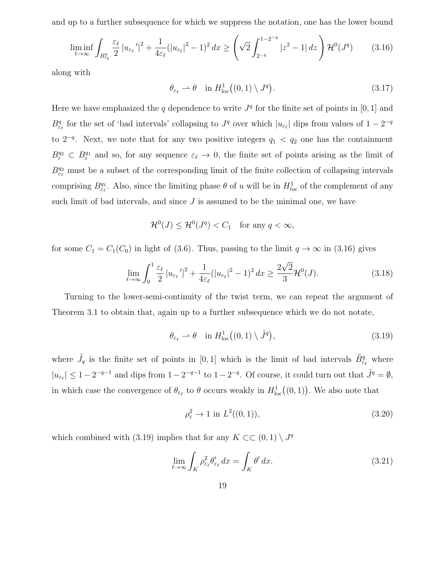and up to a further subsequence for which we suppress the notation, one has the lower bound

$$
\liminf_{\ell \to \infty} \int_{B_{\varepsilon_{\ell}}^q} \frac{\varepsilon_{\ell}}{2} \left| u_{\varepsilon_{\ell}}' \right|^2 + \frac{1}{4\varepsilon_{\ell}} (\left| u_{\varepsilon_{\ell}} \right|^2 - 1)^2 dx \ge \left( \sqrt{2} \int_{2^{-q}}^{1-2^{-q}} \left| z^2 - 1 \right| dz \right) \mathcal{H}^0(J^q) \tag{3.16}
$$

along with

$$
\theta_{\varepsilon_{\ell}} \rightharpoonup \theta \quad \text{in } H^1_{\text{loc}}((0,1) \setminus J^q). \tag{3.17}
$$

Here we have emphasized the q dependence to write  $J<sup>q</sup>$  for the finite set of points in [0, 1] and  $B_{\varepsilon_{\ell}}^q$  for the set of 'bad intervals' collapsing to  $J^q$  over which  $|u_{\varepsilon_{\ell}}|$  dips from values of  $1 - 2^{-q}$ to 2<sup>-q</sup>. Next, we note that for any two positive integers  $q_1$  <  $q_2$  one has the containment  $B^{q_2}_\varepsilon \subset B^{q_1}_\varepsilon$  and so, for any sequence  $\varepsilon_\ell \to 0$ , the finite set of points arising as the limit of  $B_{\varepsilon_{\ell}}^{q_2}$  must be a subset of the corresponding limit of the finite collection of collapsing intervals comprising  $B_{\varepsilon_{\ell}}^{q_1}$ . Also, since the limiting phase  $\theta$  of u will be in  $H_{loc}^1$  of the complement of any such limit of bad intervals, and since  $J$  is assumed to be the minimal one, we have

$$
\mathcal{H}^0(J) \le \mathcal{H}^0(J^q) < C_1 \quad \text{for any } q < \infty,
$$

for some  $C_1 = C_1(C_0)$  in light of (3.6). Thus, passing to the limit  $q \to \infty$  in (3.16) gives

$$
\lim_{\ell \to \infty} \int_0^1 \frac{\varepsilon_\ell}{2} |u_{\varepsilon_\ell}'|^2 + \frac{1}{4\varepsilon_\ell} (|u_{\varepsilon_\ell}|^2 - 1)^2 dx \ge \frac{2\sqrt{2}}{3} \mathcal{H}^0(J). \tag{3.18}
$$

Turning to the lower-semi-continuity of the twist term, we can repeat the argument of Theorem 3.1 to obtain that, again up to a further subsequence which we do not notate,

$$
\theta_{\varepsilon_{\ell}} \rightharpoonup \theta \quad \text{in } H^1_{\text{loc}}((0,1) \setminus \tilde{J}^q), \tag{3.19}
$$

where  $\tilde{J}_q$  is the finite set of points in [0, 1] which is the limit of bad intervals  $\tilde{B}^q_{\varepsilon_\ell}$  where  $|u_{\varepsilon_\ell}| \leq 1 - 2^{-q-1}$  and dips from  $1 - 2^{-q-1}$  to  $1 - 2^{-q}$ . Of course, it could turn out that  $\tilde{J}^q = \emptyset$ , in which case the convergence of  $\theta_{\varepsilon_{\ell}}$  to  $\theta$  occurs weakly in  $H_{\text{loc}}^1((0,1))$ . We also note that

$$
\rho_{\varepsilon}^{2} \to 1 \text{ in } L^{2}((0,1)), \tag{3.20}
$$

which combined with (3.19) implies that for any  $K \subset\subset (0,1) \setminus J^q$ 

$$
\lim_{\ell \to \infty} \int_K \rho_{\varepsilon_\ell}^2 \theta_{\varepsilon_\ell}' \, dx = \int_K \theta' \, dx. \tag{3.21}
$$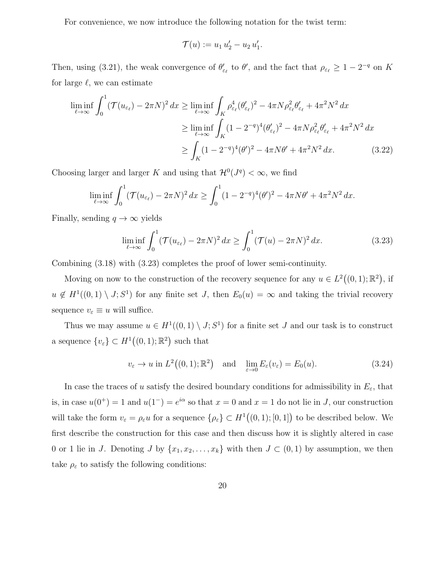For convenience, we now introduce the following notation for the twist term:

$$
\mathcal{T}(u) := u_1 u_2' - u_2 u_1'.
$$

Then, using (3.21), the weak convergence of  $\theta'_{\varepsilon_\ell}$  to  $\theta'$ , and the fact that  $\rho_{\varepsilon_\ell} \geq 1 - 2^{-q}$  on K for large  $\ell$ , we can estimate

$$
\liminf_{\ell \to \infty} \int_0^1 (\mathcal{T}(u_{\varepsilon_\ell}) - 2\pi N)^2 dx \ge \liminf_{\ell \to \infty} \int_K \rho_{\varepsilon_\ell}^4 (\theta_{\varepsilon_\ell}')^2 - 4\pi N \rho_{\varepsilon_\ell}^2 \theta_{\varepsilon_\ell}' + 4\pi^2 N^2 dx
$$
  
\n
$$
\ge \liminf_{\ell \to \infty} \int_K (1 - 2^{-q})^4 (\theta_{\varepsilon_\ell}')^2 - 4\pi N \rho_{\varepsilon_\ell}^2 \theta_{\varepsilon_\ell}' + 4\pi^2 N^2 dx
$$
  
\n
$$
\ge \int_K (1 - 2^{-q})^4 (\theta')^2 - 4\pi N \theta' + 4\pi^2 N^2 dx. \tag{3.22}
$$

Choosing larger and larger K and using that  $\mathcal{H}^0(J^q) < \infty$ , we find

$$
\liminf_{\ell \to \infty} \int_0^1 (\mathcal{T}(u_{\varepsilon_\ell}) - 2\pi N)^2 dx \ge \int_0^1 (1 - 2^{-q})^4 (\theta')^2 - 4\pi N \theta' + 4\pi^2 N^2 dx.
$$

Finally, sending  $q \to \infty$  yields

$$
\liminf_{\ell \to \infty} \int_0^1 (\mathcal{T}(u_{\varepsilon_\ell}) - 2\pi N)^2 dx \ge \int_0^1 (\mathcal{T}(u) - 2\pi N)^2 dx. \tag{3.23}
$$

Combining (3.18) with (3.23) completes the proof of lower semi-continuity.

Moving on now to the construction of the recovery sequence for any  $u \in L^2((0,1);\mathbb{R}^2)$ , if  $u \notin H^1((0,1) \setminus J; S^1)$  for any finite set J, then  $E_0(u) = \infty$  and taking the trivial recovery sequence  $v_{\varepsilon} \equiv u$  will suffice.

Thus we may assume  $u \in H^1((0,1) \setminus J; S^1)$  for a finite set J and our task is to construct a sequence  ${v_\varepsilon\} \subset H^1((0,1);\mathbb{R}^2)$  such that

$$
v_{\varepsilon} \to u
$$
 in  $L^2((0,1); \mathbb{R}^2)$  and  $\lim_{\varepsilon \to 0} E_{\varepsilon}(v_{\varepsilon}) = E_0(u)$ . (3.24)

In case the traces of u satisfy the desired boundary conditions for admissibility in  $E_{\varepsilon}$ , that is, in case  $u(0^+) = 1$  and  $u(1^-) = e^{i\alpha}$  so that  $x = 0$  and  $x = 1$  do not lie in J, our construction will take the form  $v_{\varepsilon} = \rho_{\varepsilon} u$  for a sequence  $\{\rho_{\varepsilon}\}\subset H^1((0,1);[0,1])$  to be described below. We first describe the construction for this case and then discuss how it is slightly altered in case 0 or 1 lie in J. Denoting J by  $\{x_1, x_2, \ldots, x_k\}$  with then  $J \subset (0,1)$  by assumption, we then take  $\rho_{\varepsilon}$  to satisfy the following conditions: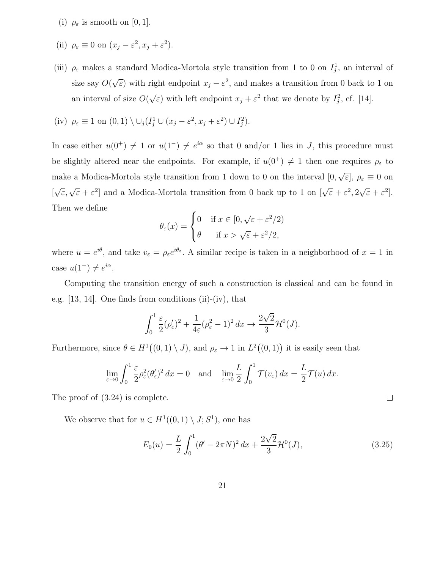- (i)  $\rho_{\varepsilon}$  is smooth on [0, 1].
- (ii)  $\rho_{\varepsilon} \equiv 0$  on  $(x_j \varepsilon^2, x_j + \varepsilon^2)$ .
- (iii)  $\rho_{\varepsilon}$  makes a standard Modica-Mortola style transition from 1 to 0 on  $I_j^1$ , an interval of size say  $O($ √  $\epsilon$ ) with right endpoint  $x_j - \epsilon^2$ , and makes a transition from 0 back to 1 on an interval of size O( √  $\epsilon$ ) with left endpoint  $x_j + \epsilon^2$  that we denote by  $I_j^2$ , cf. [14].

(iv) 
$$
\rho_{\varepsilon} \equiv 1
$$
 on  $(0, 1) \setminus \bigcup_j (I_j^1 \cup (x_j - \varepsilon^2, x_j + \varepsilon^2) \cup I_j^2)$ .

In case either  $u(0^+) \neq 1$  or  $u(1^-) \neq e^{i\alpha}$  so that 0 and/or 1 lies in J, this procedure must be slightly altered near the endpoints. For example, if  $u(0^+) \neq 1$  then one requires  $\rho_{\varepsilon}$  to make a Modica-Mortola style transition from 1 down to 0 on the interval [0, √ ε], ρ<sup>ε</sup> ≡ 0 on [  $\sqrt{\varepsilon}, \sqrt{\varepsilon} + \varepsilon^2$  and a Modica-Mortola transition from 0 back up to 1 on  $\left[\sqrt{\varepsilon} + \varepsilon^2, 2\right]$ √  $\bar{\varepsilon} + \varepsilon^2$ . Then we define

$$
\theta_{\varepsilon}(x) = \begin{cases} 0 & \text{if } x \in [0, \sqrt{\varepsilon} + \varepsilon^2/2) \\ \theta & \text{if } x > \sqrt{\varepsilon} + \varepsilon^2/2, \end{cases}
$$

where  $u = e^{i\theta}$ , and take  $v_{\varepsilon} = \rho_{\varepsilon} e^{i\theta_{\varepsilon}}$ . A similar recipe is taken in a neighborhood of  $x = 1$  in case  $u(1^-) \neq e^{i\alpha}$ .

Computing the transition energy of such a construction is classical and can be found in e.g. [13, 14]. One finds from conditions (ii)-(iv), that

$$
\int_0^1 \frac{\varepsilon}{2} (\rho_{\varepsilon}')^2 + \frac{1}{4\varepsilon} (\rho_{\varepsilon}^2 - 1)^2 dx \to \frac{2\sqrt{2}}{3} \mathcal{H}^0(J).
$$

Furthermore, since  $\theta \in H^1((0,1) \setminus J)$ , and  $\rho_{\varepsilon} \to 1$  in  $L^2((0,1))$  it is easily seen that

$$
\lim_{\varepsilon \to 0} \int_0^1 \frac{\varepsilon}{2} \rho_\varepsilon^2 (\theta_\varepsilon')^2 dx = 0 \text{ and } \lim_{\varepsilon \to 0} \frac{L}{2} \int_0^1 \mathcal{T}(v_\varepsilon) dx = \frac{L}{2} \mathcal{T}(u) dx.
$$

The proof of (3.24) is complete.

We observe that for  $u \in H^1((0,1) \setminus J; S^1)$ , one has

$$
E_0(u) = \frac{L}{2} \int_0^1 (\theta' - 2\pi N)^2 dx + \frac{2\sqrt{2}}{3} \mathcal{H}^0(J),
$$
\n(3.25)

 $\Box$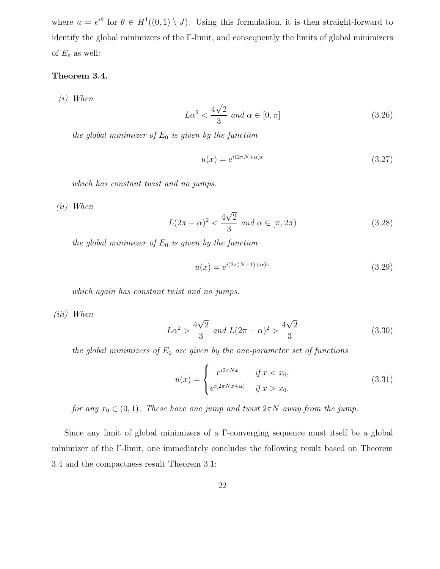where  $u = e^{i\theta}$  for  $\theta \in H^1((0,1) \setminus J)$ . Using this formulation, it is then straight-forward to identify the global minimizers of the Γ-limit, and consequently the limits of global minimizers of  $E_{\varepsilon}$  as well:

# Theorem 3.4.

(i) When

$$
L\alpha^2 < \frac{4\sqrt{2}}{3} \text{ and } \alpha \in [0, \pi] \tag{3.26}
$$

the global minimizer of  $E_0$  is given by the function

$$
u(x) = e^{i(2\pi N + \alpha)x} \tag{3.27}
$$

which has constant twist and no jumps.

(ii) When

$$
L(2\pi - \alpha)^2 < \frac{4\sqrt{2}}{3} \text{ and } \alpha \in [\pi, 2\pi) \tag{3.28}
$$

the global minimizer of  $E_0$  is given by the function

$$
u(x) = e^{i(2\pi(N-1) + \alpha)x}
$$
\n(3.29)

which again has constant twist and no jumps.

(iii) When

$$
L\alpha^2 > \frac{4\sqrt{2}}{3} \text{ and } L(2\pi - \alpha)^2 > \frac{4\sqrt{2}}{3}
$$
 (3.30)

the global minimizers of  $E_0$  are given by the one-parameter set of functions

$$
u(x) = \begin{cases} e^{i2\pi Nx} & \text{if } x < x_0, \\ e^{i(2\pi Nx + \alpha)} & \text{if } x > x_0, \end{cases}
$$
 (3.31)

for any  $x_0 \in (0,1)$ . These have one jump and twist  $2\pi N$  away from the jump.

Since any limit of global minimizers of a Γ-converging sequence must itself be a global minimizer of the Γ-limit, one immediately concludes the following result based on Theorem 3.4 and the compactness result Theorem 3.1: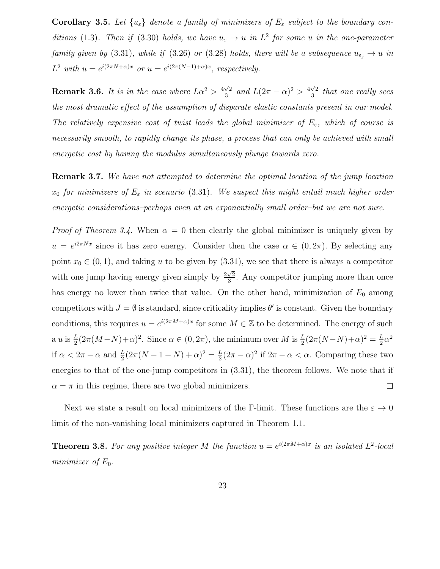**Corollary 3.5.** Let  $\{u_{\varepsilon}\}\$  denote a family of minimizers of  $E_{\varepsilon}$  subject to the boundary conditions (1.3). Then if (3.30) holds, we have  $u_{\varepsilon} \to u$  in  $L^2$  for some u in the one-parameter family given by (3.31), while if (3.26) or (3.28) holds, there will be a subsequence  $u_{\varepsilon_j} \to u$  in  $L^2$  with  $u = e^{i(2\pi N + \alpha)x}$  or  $u = e^{i(2\pi(N-1) + \alpha)x}$ , respectively.

**Remark 3.6.** It is in the case where  $L\alpha^2 > \frac{4\sqrt{2}}{3}$  $\frac{\sqrt{2}}{3}$  and  $L(2\pi - \alpha)^2 > \frac{4\sqrt{2}}{3}$  $\frac{\sqrt{2}}{3}$  that one really sees the most dramatic effect of the assumption of disparate elastic constants present in our model. The relatively expensive cost of twist leads the global minimizer of  $E_{\varepsilon}$ , which of course is necessarily smooth, to rapidly change its phase, a process that can only be achieved with small energetic cost by having the modulus simultaneously plunge towards zero.

Remark 3.7. We have not attempted to determine the optimal location of the jump location  $x_0$  for minimizers of  $E_\varepsilon$  in scenario (3.31). We suspect this might entail much higher order energetic considerations–perhaps even at an exponentially small order–but we are not sure.

*Proof of Theorem 3.4.* When  $\alpha = 0$  then clearly the global minimizer is uniquely given by  $u = e^{i2\pi Nx}$  since it has zero energy. Consider then the case  $\alpha \in (0, 2\pi)$ . By selecting any point  $x_0 \in (0, 1)$ , and taking u to be given by  $(3.31)$ , we see that there is always a competitor with one jump having energy given simply by  $\frac{2\sqrt{2}}{3}$  $\frac{\sqrt{2}}{3}$ . Any competitor jumping more than once has energy no lower than twice that value. On the other hand, minimization of  $E_0$  among competitors with  $J = \emptyset$  is standard, since criticality implies  $\theta'$  is constant. Given the boundary conditions, this requires  $u = e^{i(2\pi M + \alpha)x}$  for some  $M \in \mathbb{Z}$  to be determined. The energy of such a u is  $\frac{L}{2}(2\pi(M-N)+\alpha)^2$ . Since  $\alpha \in (0, 2\pi)$ , the minimum over M is  $\frac{L}{2}(2\pi(N-N)+\alpha)^2 = \frac{L}{2}$  $rac{L}{2}\alpha^2$ if  $\alpha < 2\pi - \alpha$  and  $\frac{L}{2}(2\pi(N-1-N)+\alpha)^2 = \frac{L}{2}$  $\frac{L}{2}(2\pi - \alpha)^2$  if  $2\pi - \alpha < \alpha$ . Comparing these two energies to that of the one-jump competitors in (3.31), the theorem follows. We note that if  $\alpha = \pi$  in this regime, there are two global minimizers.  $\Box$ 

Next we state a result on local minimizers of the Γ-limit. These functions are the  $\varepsilon \to 0$ limit of the non-vanishing local minimizers captured in Theorem 1.1.

**Theorem 3.8.** For any positive integer M the function  $u = e^{i(2\pi M + \alpha)x}$  is an isolated  $L^2$ -local minimizer of  $E_0$ .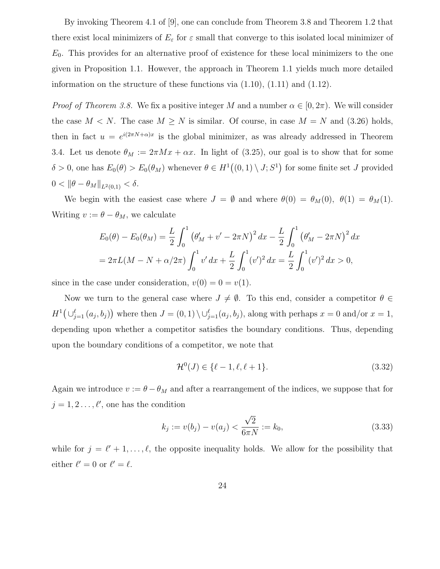By invoking Theorem 4.1 of [9], one can conclude from Theorem 3.8 and Theorem 1.2 that there exist local minimizers of  $E_{\varepsilon}$  for  $\varepsilon$  small that converge to this isolated local minimizer of  $E_0$ . This provides for an alternative proof of existence for these local minimizers to the one given in Proposition 1.1. However, the approach in Theorem 1.1 yields much more detailed information on the structure of these functions via  $(1.10)$ ,  $(1.11)$  and  $(1.12)$ .

*Proof of Theorem 3.8.* We fix a positive integer M and a number  $\alpha \in [0, 2\pi)$ . We will consider the case  $M < N$ . The case  $M \geq N$  is similar. Of course, in case  $M = N$  and (3.26) holds, then in fact  $u = e^{i(2\pi N + \alpha)x}$  is the global minimizer, as was already addressed in Theorem 3.4. Let us denote  $\theta_M := 2\pi Mx + \alpha x$ . In light of (3.25), our goal is to show that for some  $\delta > 0$ , one has  $E_0(\theta) > E_0(\theta_M)$  whenever  $\theta \in H^1((0,1) \setminus J; S^1)$  for some finite set J provided  $0 < ||\theta - \theta_M||_{L^2(0,1)} < \delta.$ 

We begin with the easiest case where  $J = \emptyset$  and where  $\theta(0) = \theta_M(0)$ ,  $\theta(1) = \theta_M(1)$ . Writing  $v := \theta - \theta_M$ , we calculate

$$
E_0(\theta) - E_0(\theta_M) = \frac{L}{2} \int_0^1 (\theta'_M + v' - 2\pi N)^2 dx - \frac{L}{2} \int_0^1 (\theta'_M - 2\pi N)^2 dx
$$
  
=  $2\pi L(M - N + \alpha/2\pi) \int_0^1 v' dx + \frac{L}{2} \int_0^1 (v')^2 dx = \frac{L}{2} \int_0^1 (v')^2 dx > 0,$ 

since in the case under consideration,  $v(0) = 0 = v(1)$ .

Now we turn to the general case where  $J \neq \emptyset$ . To this end, consider a competitor  $\theta \in$  $H^1(\cup_{j=1}^{\ell} (a_j, b_j))$  where then  $J = (0, 1) \setminus \cup_{j=1}^{\ell} (a_j, b_j)$ , along with perhaps  $x = 0$  and/or  $x = 1$ , depending upon whether a competitor satisfies the boundary conditions. Thus, depending upon the boundary conditions of a competitor, we note that

$$
\mathcal{H}^0(J) \in \{\ell - 1, \ell, \ell + 1\}.
$$
\n(3.32)

Again we introduce  $v := \theta - \theta_M$  and after a rearrangement of the indices, we suppose that for  $j = 1, 2, \ldots, \ell'$ , one has the condition

$$
k_j := v(b_j) - v(a_j) < \frac{\sqrt{2}}{6\pi N} := k_0,\tag{3.33}
$$

while for  $j = \ell' + 1, \ldots, \ell$ , the opposite inequality holds. We allow for the possibility that either  $\ell' = 0$  or  $\ell' = \ell$ .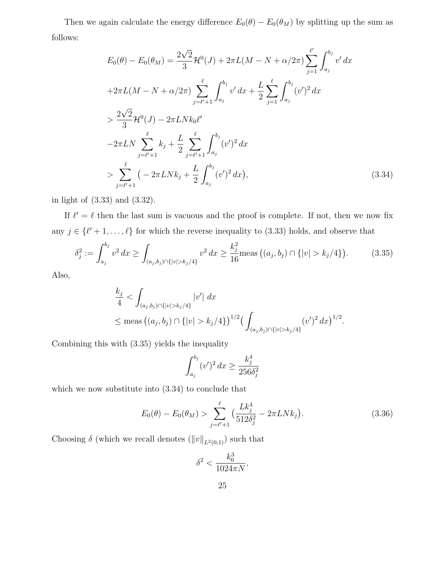Then we again calculate the energy difference  $E_0(\theta) - E_0(\theta_M)$  by splitting up the sum as follows:

$$
E_0(\theta) - E_0(\theta_M) = \frac{2\sqrt{2}}{3} \mathcal{H}^0(J) + 2\pi L(M - N + \alpha/2\pi) \sum_{j=1}^{\ell'} \int_{a_j}^{b_j} v' dx
$$
  
+2\pi L(M - N + \alpha/2\pi) \sum\_{j=\ell'+1}^{\ell} \int\_{a\_j}^{b\_j} v' dx + \frac{L}{2} \sum\_{j=1}^{\ell} \int\_{a\_j}^{b\_j} (v')^2 dx  
> \frac{2\sqrt{2}}{3} \mathcal{H}^0(J) - 2\pi L N k\_0 \ell'  
-2\pi L N \sum\_{j=\ell'+1}^{\ell} k\_j + \frac{L}{2} \sum\_{j=\ell'+1}^{\ell} \int\_{a\_j}^{b\_j} (v')^2 dx  
> \sum\_{j=\ell'+1}^{\ell} \left( -2\pi L N k\_j + \frac{L}{2} \int\_{a\_j}^{b\_j} (v')^2 dx \right), \tag{3.34}

in light of (3.33) and (3.32).

If  $\ell' = \ell$  then the last sum is vacuous and the proof is complete. If not, then we now fix any  $j \in \{\ell' + 1, \ldots, \ell\}$  for which the reverse inequality to (3.33) holds, and observe that

$$
\delta_j^2 := \int_{a_j}^{b_j} v^2 dx \ge \int_{(a_j, b_j) \cap \{|v| > k_j/4\}} v^2 dx \ge \frac{k_j^2}{16} \text{meas} \left( (a_j, b_j) \cap \{|v| > k_j/4 \} \right). \tag{3.35}
$$

Also,

$$
\frac{k_j}{4} < \int_{(a_j, b_j) \cap \{|v| > k_j/4\}} |v'| \, dx
$$
\n
$$
\leq \text{meas} \left( (a_j, b_j) \cap \{|v| > k_j/4\} \right)^{1/2} \left( \int_{(a_j, b_j) \cap \{|v| > k_j/4\}} (v')^2 \, dx \right)^{1/2}.
$$

Combining this with (3.35) yields the inequality

$$
\int_{a_j}^{b_j} (v')^2 \, dx \ge \frac{k_j^4}{256 \delta_j^2}
$$

which we now substitute into (3.34) to conclude that

$$
E_0(\theta) - E_0(\theta_M) > \sum_{j=\ell'+1}^{\ell} \left( \frac{L k_j^4}{512 \delta_j^2} - 2\pi L N k_j \right).
$$
 (3.36)

Choosing  $\delta$  (which we recall denotes  $(\|v\|_{L^2(0,1)})$  such that

$$
\delta^2 < \frac{k_0^3}{1024\pi N},
$$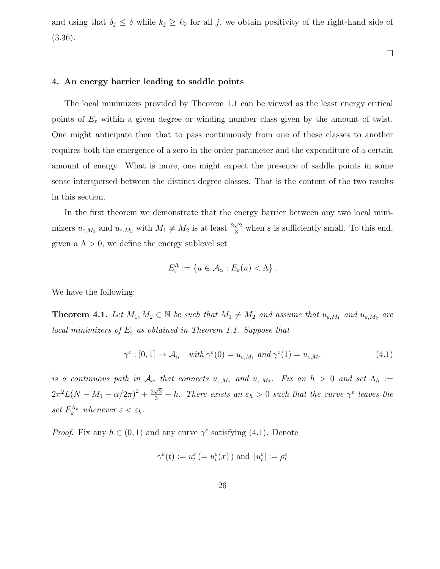and using that  $\delta_j \leq \delta$  while  $k_j \geq k_0$  for all j, we obtain positivity of the right-hand side of (3.36).

 $\Box$ 

#### 4. An energy barrier leading to saddle points

The local minimizers provided by Theorem 1.1 can be viewed as the least energy critical points of  $E_{\varepsilon}$  within a given degree or winding number class given by the amount of twist. One might anticipate then that to pass continuously from one of these classes to another requires both the emergence of a zero in the order parameter and the expenditure of a certain amount of energy. What is more, one might expect the presence of saddle points in some sense interspersed between the distinct degree classes. That is the content of the two results in this section.

In the first theorem we demonstrate that the energy barrier between any two local minimizers  $u_{\varepsilon,M_1}$  and  $u_{\varepsilon,M_2}$  with  $M_1 \neq M_2$  is at least  $\frac{2\sqrt{2}}{3}$  when  $\varepsilon$  is sufficiently small. To this end, given a  $\Lambda > 0$ , we define the energy sublevel set

$$
E_{\varepsilon}^{\Lambda} := \{ u \in \mathcal{A}_{\alpha} : E_{\varepsilon}(u) < \Lambda \} \, .
$$

We have the following:

**Theorem 4.1.** Let  $M_1, M_2 \in \mathbb{N}$  be such that  $M_1 \neq M_2$  and assume that  $u_{\varepsilon,M_1}$  and  $u_{\varepsilon,M_2}$  are local minimizers of  $E_{\varepsilon}$  as obtained in Theorem 1.1. Suppose that

$$
\gamma^{\varepsilon} : [0, 1] \to \mathcal{A}_{\alpha} \quad \text{with } \gamma^{\varepsilon}(0) = u_{\varepsilon, M_1} \text{ and } \gamma^{\varepsilon}(1) = u_{\varepsilon, M_2} \tag{4.1}
$$

is a continuous path in  $\mathcal{A}_{\alpha}$  that connects  $u_{\varepsilon,M_1}$  and  $u_{\varepsilon,M_2}$ . Fix an  $h > 0$  and set  $\Lambda_h :=$  $2\pi^2 L(N-M_1-\alpha/2\pi)^2 + \frac{2\sqrt{2}}{3}-h$ . There exists an  $\varepsilon_h > 0$  such that the curve  $\gamma^{\varepsilon}$  leaves the set  $E_{\varepsilon}^{\Lambda_h}$  whenever  $\varepsilon < \varepsilon_h$ .

*Proof.* Fix any  $h \in (0,1)$  and any curve  $\gamma^{\varepsilon}$  satisfying (4.1). Denote

$$
\gamma^\varepsilon(t):=u_t^\varepsilon\,(=u_t^\varepsilon(x)\,)
$$
 and  $\,|u_t^\varepsilon|:=\rho_t^\varepsilon$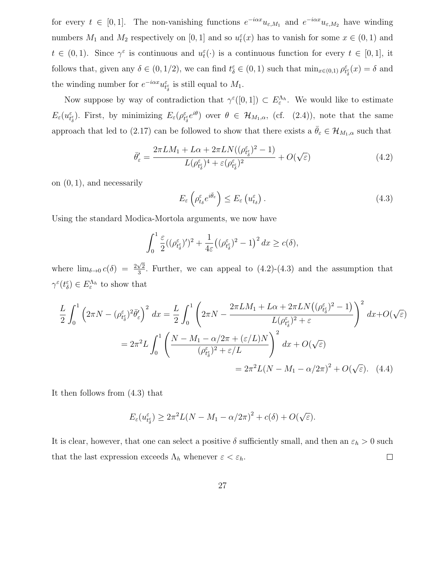for every  $t \in [0,1]$ . The non-vanishing functions  $e^{-i\alpha x}u_{\varepsilon,M_1}$  and  $e^{-i\alpha x}u_{\varepsilon,M_2}$  have winding numbers  $M_1$  and  $M_2$  respectively on [0, 1] and so  $u_t^{\varepsilon}(x)$  has to vanish for some  $x \in (0,1)$  and  $t \in (0,1)$ . Since  $\gamma^{\varepsilon}$  is continuous and  $u_t^{\varepsilon}(\cdot)$  is a continuous function for every  $t \in [0,1]$ , it follows that, given any  $\delta \in (0, 1/2)$ , we can find  $t_{\delta}^{\varepsilon} \in (0, 1)$  such that  $\min_{x \in (0, 1)} \rho_{t_{\delta}}^{\varepsilon}(x) = \delta$  and the winding number for  $e^{-i\alpha x}u_{t_{\delta}^{\varepsilon}}$  is still equal to  $M_1$ .

Now suppose by way of contradiction that  $\gamma^{\varepsilon}([0,1]) \subset E_{\varepsilon}^{\Lambda_h}$ . We would like to estimate  $E_{\varepsilon}(u_{t_{\delta}^{\varepsilon}}^{\varepsilon})$ . First, by minimizing  $E_{\varepsilon}(\rho_{t_{\delta}^{\varepsilon}}^{\varepsilon}e^{i\theta})$  over  $\theta \in \mathcal{H}_{M_{1},\alpha}$ , (cf. (2.4)), note that the same approach that led to (2.17) can be followed to show that there exists a  $\bar{\theta}_{\varepsilon} \in \mathcal{H}_{M_1,\alpha}$  such that

$$
\bar{\theta}'_{\varepsilon} = \frac{2\pi LM_1 + L\alpha + 2\pi LN((\rho_{t^{\varepsilon}_{\delta}}^{\varepsilon})^2 - 1)}{L(\rho_{t^{\varepsilon}_{\delta}}^{\varepsilon})^4 + \varepsilon(\rho_{t^{\varepsilon}_{\delta}}^{\varepsilon})^2} + O(\sqrt{\varepsilon})
$$
\n(4.2)

on  $(0, 1)$ , and necessarily

$$
E_{\varepsilon} \left( \rho_{t_{\delta}}^{\varepsilon} e^{i\bar{\theta}_{\varepsilon}} \right) \le E_{\varepsilon} \left( u_{t_{\delta}}^{\varepsilon} \right). \tag{4.3}
$$

Using the standard Modica-Mortola arguments, we now have

$$
\int_0^1 \frac{\varepsilon}{2} ((\rho_{t_\delta}^{\varepsilon})')^2 + \frac{1}{4\varepsilon} ((\rho_{t_\delta}^{\varepsilon})^2 - 1)^2 dx \ge c(\delta),
$$

where  $\lim_{\delta \to 0} c(\delta) = \frac{2\sqrt{2}}{3}$  $\frac{\sqrt{2}}{3}$ . Further, we can appeal to  $(4.2)-(4.3)$  and the assumption that  $\gamma^{\varepsilon}(t_{\delta}^{\varepsilon}) \in E_{\varepsilon}^{\Lambda_h}$  to show that

$$
\frac{L}{2} \int_0^1 \left(2\pi N - (\rho_{t_\delta}^\varepsilon)^2 \bar{\theta}_\varepsilon'\right)^2 dx = \frac{L}{2} \int_0^1 \left(2\pi N - \frac{2\pi LM_1 + L\alpha + 2\pi LN\left((\rho_{t_\delta}^\varepsilon)^2 - 1\right)}{L(\rho_{t_\delta}^\varepsilon)^2 + \varepsilon}\right)^2 dx + O(\sqrt{\varepsilon})
$$

$$
= 2\pi^2 L \int_0^1 \left(\frac{N - M_1 - \alpha/2\pi + (\varepsilon/L)N}{(\rho_{t_\delta}^\varepsilon)^2 + \varepsilon/L}\right)^2 dx + O(\sqrt{\varepsilon})
$$

$$
= 2\pi^2 L(N - M_1 - \alpha/2\pi)^2 + O(\sqrt{\varepsilon}). \quad (4.4)
$$

It then follows from (4.3) that

$$
E_{\varepsilon}(u_{t_{\delta}^{\varepsilon}}^{\varepsilon}) \geq 2\pi^{2}L(N-M_{1}-\alpha/2\pi)^{2}+c(\delta)+O(\sqrt{\varepsilon}).
$$

It is clear, however, that one can select a positive  $\delta$  sufficiently small, and then an  $\varepsilon_h > 0$  such that the last expression exceeds  $\Lambda_h$  whenever  $\varepsilon < \varepsilon_h$ .  $\Box$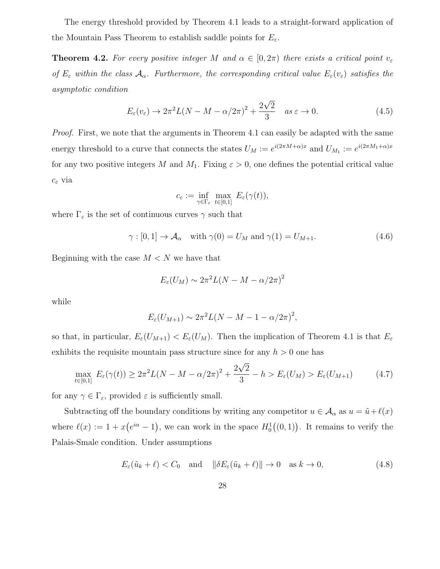The energy threshold provided by Theorem 4.1 leads to a straight-forward application of the Mountain Pass Theorem to establish saddle points for  $E_{\varepsilon}$ .

**Theorem 4.2.** For every positive integer M and  $\alpha \in [0, 2\pi)$  there exists a critical point  $v_{\varepsilon}$ of  $E_\varepsilon$  within the class  $\mathcal{A}_\alpha$ . Furthermore, the corresponding critical value  $E_\varepsilon(v_\varepsilon)$  satisfies the asymptotic condition

$$
E_{\varepsilon}(v_{\varepsilon}) \to 2\pi^2 L(N - M - \alpha/2\pi)^2 + \frac{2\sqrt{2}}{3} \quad \text{as } \varepsilon \to 0. \tag{4.5}
$$

Proof. First, we note that the arguments in Theorem 4.1 can easily be adapted with the same energy threshold to a curve that connects the states  $U_M := e^{i(2\pi M + \alpha)x}$  and  $U_{M_1} := e^{i(2\pi M_1 + \alpha)x}$ for any two positive integers M and  $M_1$ . Fixing  $\varepsilon > 0$ , one defines the potential critical value  $c_{\varepsilon}$  via

$$
c_\varepsilon:=\inf_{\gamma\in\Gamma_\varepsilon}\,\max_{t\in[0,1]}\,\,E_\varepsilon(\gamma(t)),
$$

where  $\Gamma_{\varepsilon}$  is the set of continuous curves  $\gamma$  such that

$$
\gamma : [0, 1] \to \mathcal{A}_{\alpha} \quad \text{with } \gamma(0) = U_M \text{ and } \gamma(1) = U_{M+1}. \tag{4.6}
$$

Beginning with the case  $M < N$  we have that

$$
E_{\varepsilon}(U_M) \sim 2\pi^2 L(N - M - \alpha/2\pi)^2
$$

while

$$
E_{\varepsilon}(U_{M+1}) \sim 2\pi^2 L(N-M-1-\alpha/2\pi)^2,
$$

so that, in particular,  $E_{\varepsilon}(U_{M+1}) < E_{\varepsilon}(U_M)$ . Then the implication of Theorem 4.1 is that  $E_{\varepsilon}$ exhibits the requisite mountain pass structure since for any  $h > 0$  one has

$$
\max_{t \in [0,1]} E_{\varepsilon}(\gamma(t)) \ge 2\pi^2 L(N - M - \alpha/2\pi)^2 + \frac{2\sqrt{2}}{3} - h > E_{\varepsilon}(U_M) > E_{\varepsilon}(U_{M+1})
$$
(4.7)

for any  $\gamma \in \Gamma_{\varepsilon}$ , provided  $\varepsilon$  is sufficiently small.

Subtracting off the boundary conditions by writing any competitor  $u \in A_\alpha$  as  $u = \tilde{u} + \ell(x)$ where  $\ell(x) := 1 + x(e^{i\alpha} - 1)$ , we can work in the space  $H_0^1((0, 1))$ . It remains to verify the Palais-Smale condition. Under assumptions

$$
E_{\varepsilon}(\tilde{u}_k + \ell) < C_0 \quad \text{and} \quad \|\delta E_{\varepsilon}(\tilde{u}_k + \ell)\| \to 0 \quad \text{as } k \to 0,\tag{4.8}
$$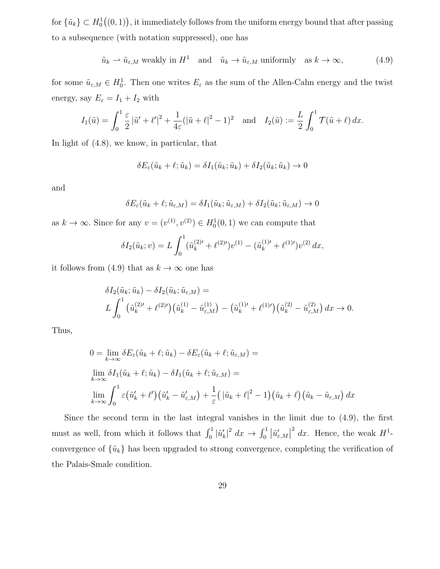for  $\{\tilde{u}_k\} \subset H_0^1((0,1))$ , it immediately follows from the uniform energy bound that after passing to a subsequence (with notation suppressed), one has

$$
\tilde{u}_k \rightharpoonup \tilde{u}_{\varepsilon,M} \text{ weakly in } H^1 \quad \text{and} \quad \tilde{u}_k \rightharpoonup \tilde{u}_{\varepsilon,M} \text{ uniformly} \quad \text{as } k \rightharpoonup \infty,
$$
\n
$$
(4.9)
$$

for some  $\tilde{u}_{\varepsilon,M} \in H_0^1$ . Then one writes  $E_{\varepsilon}$  as the sum of the Allen-Cahn energy and the twist energy, say  $E_{\varepsilon} = I_1 + I_2$  with

$$
I_1(\tilde{u}) = \int_0^1 \frac{\varepsilon}{2} |\tilde{u}' + \ell'|^2 + \frac{1}{4\varepsilon} (|\tilde{u} + \ell|^2 - 1)^2 \text{ and } I_2(\tilde{u}) := \frac{L}{2} \int_0^1 \mathcal{T}(\tilde{u} + \ell) \, dx.
$$

In light of (4.8), we know, in particular, that

$$
\delta E_{\varepsilon}(\tilde{u}_k + \ell; \tilde{u}_k) = \delta I_1(\tilde{u}_k; \tilde{u}_k) + \delta I_2(\tilde{u}_k; \tilde{u}_k) \to 0
$$

and

$$
\delta E_{\varepsilon}(\tilde{u}_k + \ell; \tilde{u}_{\varepsilon,M}) = \delta I_1(\tilde{u}_k; \tilde{u}_{\varepsilon,M}) + \delta I_2(\tilde{u}_k; \tilde{u}_{\varepsilon,M}) \to 0
$$

as  $k \to \infty$ . Since for any  $v = (v^{(1)}, v^{(2)}) \in H_0^1(0, 1)$  we can compute that

$$
\delta I_2(\tilde{u}_k; v) = L \int_0^1 (\tilde{u}_k^{(2)\prime} + \ell^{(2)\prime}) v^{(1)} - (\tilde{u}_k^{(1)\prime} + \ell^{(1)\prime}) v^{(2)} dx,
$$

it follows from (4.9) that as  $k \to \infty$  one has

$$
\delta I_2(\tilde{u}_k; \tilde{u}_k) - \delta I_2(\tilde{u}_k; \tilde{u}_{\varepsilon,M}) =
$$
  

$$
L \int_0^1 (\tilde{u}_k^{(2)\prime} + \ell^{(2)\prime}) (\tilde{u}_k^{(1)} - \tilde{u}_{\varepsilon,M}^{(1)}) - (\tilde{u}_k^{(1)\prime} + \ell^{(1)\prime}) (\tilde{u}_k^{(2)} - \tilde{u}_{\varepsilon,M}^{(2)}) dx \to 0.
$$

Thus,

$$
0 = \lim_{k \to \infty} \delta E_{\varepsilon}(\tilde{u}_k + \ell; \tilde{u}_k) - \delta E_{\varepsilon}(\tilde{u}_k + \ell; \tilde{u}_{\varepsilon, M}) =
$$
  
\n
$$
\lim_{k \to \infty} \delta I_1(\tilde{u}_k + \ell; \tilde{u}_k) - \delta I_1(\tilde{u}_k + \ell; \tilde{u}_{\varepsilon, M}) =
$$
  
\n
$$
\lim_{k \to \infty} \int_0^1 \varepsilon (\tilde{u}'_k + \ell') (\tilde{u}'_k - \tilde{u}'_{\varepsilon, M}) + \frac{1}{\varepsilon} (|\tilde{u}_k + \ell|^2 - 1) (\tilde{u}_k + \ell) (\tilde{u}_k - \tilde{u}_{\varepsilon, M}) dx
$$

Since the second term in the last integral vanishes in the limit due to (4.9), the first must as well, from which it follows that  $\int_0^1 |\tilde{u}'_k|^2 dx \to \int_0^1 |\tilde{u}'_{\varepsilon,M}|$ <sup>2</sup> dx. Hence, the weak  $H^1$ convergence of  $\{\tilde{u}_k\}$  has been upgraded to strong convergence, completing the verification of the Palais-Smale condition.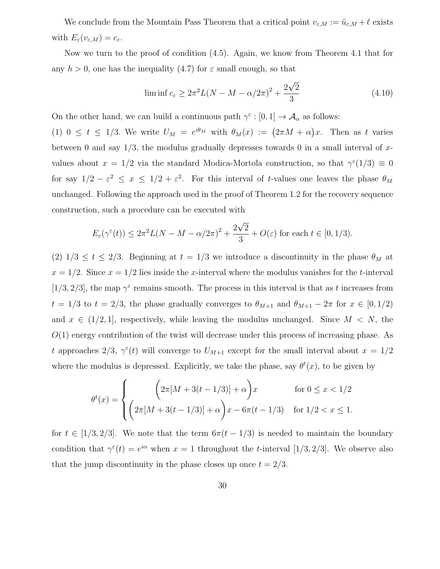We conclude from the Mountain Pass Theorem that a critical point  $v_{\varepsilon,M} := \tilde{u}_{\varepsilon,M} + \ell$  exists with  $E_{\varepsilon}(v_{\varepsilon,M}) = c_{\varepsilon}.$ 

Now we turn to the proof of condition (4.5). Again, we know from Theorem 4.1 that for any  $h > 0$ , one has the inequality (4.7) for  $\varepsilon$  small enough, so that

$$
\liminf c_{\varepsilon} \ge 2\pi^2 L(N - M - \alpha/2\pi)^2 + \frac{2\sqrt{2}}{3}
$$
 (4.10)

On the other hand, we can build a continuous path  $\gamma^{\varepsilon} : [0,1] \to \mathcal{A}_{\alpha}$  as follows:

(1)  $0 \le t \le 1/3$ . We write  $U_M = e^{i\theta_M}$  with  $\theta_M(x) := (2\pi M + \alpha)x$ . Then as t varies between 0 and say  $1/3$ , the modulus gradually depresses towards 0 in a small interval of xvalues about  $x = 1/2$  via the standard Modica-Mortola construction, so that  $\gamma^{\epsilon}(1/3) \equiv 0$ for say  $1/2 - \varepsilon^2 \leq x \leq 1/2 + \varepsilon^2$ . For this interval of t-values one leaves the phase  $\theta_M$ unchanged. Following the approach used in the proof of Theorem 1.2 for the recovery sequence construction, such a procedure can be executed with

$$
E_{\varepsilon}(\gamma^{\varepsilon}(t)) \le 2\pi^{2}L(N-M-\alpha/2\pi)^{2} + \frac{2\sqrt{2}}{3} + O(\varepsilon)
$$
 for each  $t \in [0,1/3)$ .

(2)  $1/3 \le t \le 2/3$ . Beginning at  $t = 1/3$  we introduce a discontinuity in the phase  $\theta_M$  at  $x = 1/2$ . Since  $x = 1/2$  lies inside the x-interval where the modulus vanishes for the t-interval [1/3, 2/3], the map  $\gamma^{\epsilon}$  remains smooth. The process in this interval is that as t increases from  $t = 1/3$  to  $t = 2/3$ , the phase gradually converges to  $\theta_{M+1}$  and  $\theta_{M+1} - 2\pi$  for  $x \in [0, 1/2)$ and  $x \in (1/2, 1]$ , respectively, while leaving the modulus unchanged. Since  $M < N$ , the  $O(1)$  energy contribution of the twist will decrease under this process of increasing phase. As t approaches  $2/3$ ,  $\gamma^{\epsilon}(t)$  will converge to  $U_{M+1}$  except for the small interval about  $x = 1/2$ where the modulus is depressed. Explicitly, we take the phase, say  $\theta^t(x)$ , to be given by

$$
\theta^{t}(x) = \begin{cases} \left(2\pi[M + 3(t - 1/3)] + \alpha\right)x & \text{for } 0 \leq x < 1/2\\ \left(2\pi[M + 3(t - 1/3)] + \alpha\right)x - 6\pi(t - 1/3) & \text{for } 1/2 < x \leq 1. \end{cases}
$$

for  $t \in [1/3, 2/3]$ . We note that the term  $6\pi(t - 1/3)$  is needed to maintain the boundary condition that  $\gamma^{\varepsilon}(t) = e^{i\alpha}$  when  $x = 1$  throughout the *t*-interval [1/3, 2/3]. We observe also that the jump discontinuity in the phase closes up once  $t = 2/3$ .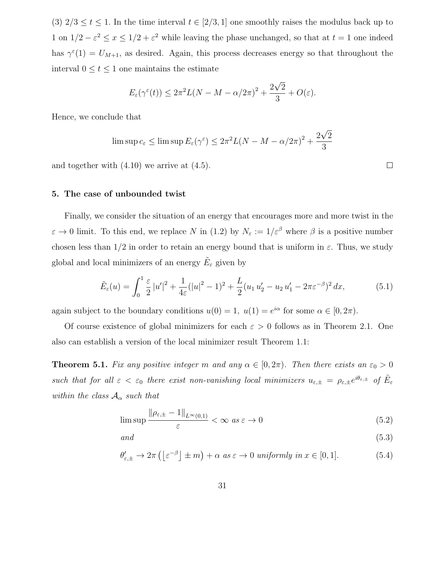(3)  $2/3 \le t \le 1$ . In the time interval  $t \in [2/3, 1]$  one smoothly raises the modulus back up to 1 on  $1/2 - \varepsilon^2 \leq x \leq 1/2 + \varepsilon^2$  while leaving the phase unchanged, so that at  $t = 1$  one indeed has  $\gamma^{\epsilon}(1) = U_{M+1}$ , as desired. Again, this process decreases energy so that throughout the interval  $0 \le t \le 1$  one maintains the estimate

$$
E_{\varepsilon}(\gamma^{\varepsilon}(t)) \leq 2\pi^{2}L(N-M-\alpha/2\pi)^{2} + \frac{2\sqrt{2}}{3} + O(\varepsilon).
$$

Hence, we conclude that

$$
\limsup c_{\varepsilon} \le \limsup E_{\varepsilon}(\gamma^{\varepsilon}) \le 2\pi^2 L(N - M - \alpha/2\pi)^2 + \frac{2\sqrt{2}}{3}
$$

and together with (4.10) we arrive at (4.5).

# 5. The case of unbounded twist

Finally, we consider the situation of an energy that encourages more and more twist in the  $\varepsilon \to 0$  limit. To this end, we replace N in (1.2) by  $N_{\varepsilon} := 1/\varepsilon^{\beta}$  where  $\beta$  is a positive number chosen less than  $1/2$  in order to retain an energy bound that is uniform in  $\varepsilon$ . Thus, we study global and local minimizers of an energy  $\tilde{E}_\varepsilon$  given by

$$
\tilde{E}_{\varepsilon}(u) = \int_0^1 \frac{\varepsilon}{2} |u'|^2 + \frac{1}{4\varepsilon} (|u|^2 - 1)^2 + \frac{L}{2} (u_1 u_2' - u_2 u_1' - 2\pi \varepsilon^{-\beta})^2 dx, \tag{5.1}
$$

again subject to the boundary conditions  $u(0) = 1$ ,  $u(1) = e^{i\alpha}$  for some  $\alpha \in [0, 2\pi)$ .

Of course existence of global minimizers for each  $\varepsilon > 0$  follows as in Theorem 2.1. One also can establish a version of the local minimizer result Theorem 1.1:

**Theorem 5.1.** Fix any positive integer m and any  $\alpha \in [0, 2\pi)$ . Then there exists an  $\varepsilon_0 > 0$ such that for all  $\varepsilon < \varepsilon_0$  there exist non-vanishing local minimizers  $u_{\varepsilon,\pm} = \rho_{\varepsilon,\pm} e^{i\theta_{\varepsilon,\pm}}$  of  $\tilde{E}_{\varepsilon}$ within the class  $A_{\alpha}$  such that

$$
\limsup \frac{\|\rho_{\varepsilon,\pm} - 1\|_{L^{\infty}(0,1)}}{\varepsilon} < \infty \text{ as } \varepsilon \to 0
$$
\n(5.2)

 $and$  (5.3)

$$
\theta'_{\varepsilon,\pm} \to 2\pi \left( \left[ \varepsilon^{-\beta} \right] \pm m \right) + \alpha \text{ as } \varepsilon \to 0 \text{ uniformly in } x \in [0,1]. \tag{5.4}
$$

 $\Box$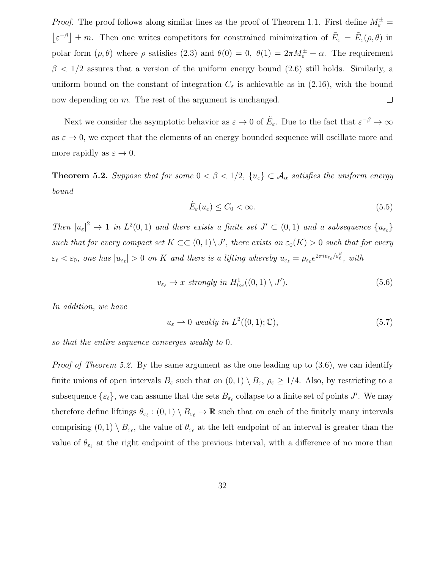*Proof.* The proof follows along similar lines as the proof of Theorem 1.1. First define  $M_{\varepsilon}^{\pm}$  =  $|\varepsilon^{-\beta}| \pm m$ . Then one writes competitors for constrained minimization of  $\tilde{E}_{\varepsilon} = \tilde{E}_{\varepsilon}(\rho,\theta)$  in polar form  $(\rho, \theta)$  where  $\rho$  satisfies (2.3) and  $\theta(0) = 0$ ,  $\theta(1) = 2\pi M_{\varepsilon}^{\pm} + \alpha$ . The requirement  $\beta$  < 1/2 assures that a version of the uniform energy bound (2.6) still holds. Similarly, a uniform bound on the constant of integration  $C_{\varepsilon}$  is achievable as in (2.16), with the bound now depending on m. The rest of the argument is unchanged.  $\Box$ 

Next we consider the asymptotic behavior as  $\varepsilon \to 0$  of  $\tilde{E}_{\varepsilon}$ . Due to the fact that  $\varepsilon^{-\beta} \to \infty$ as  $\varepsilon \to 0$ , we expect that the elements of an energy bounded sequence will oscillate more and more rapidly as  $\varepsilon \to 0$ .

**Theorem 5.2.** Suppose that for some  $0 < \beta < 1/2$ ,  $\{u_{\varepsilon}\} \subset \mathcal{A}_{\alpha}$  satisfies the uniform energy bound

$$
\tilde{E}_{\varepsilon}(u_{\varepsilon}) \le C_0 < \infty. \tag{5.5}
$$

Then  $|u_{\varepsilon}|^2 \to 1$  in  $L^2(0,1)$  and there exists a finite set  $J' \subset (0,1)$  and a subsequence  $\{u_{\varepsilon_\ell}\}$ such that for every compact set  $K \subset \subset (0,1) \setminus J'$ , there exists an  $\varepsilon_0(K) > 0$  such that for every  $\varepsilon_\ell < \varepsilon_0$ , one has  $|u_{\varepsilon_\ell}| > 0$  on K and there is a lifting whereby  $u_{\varepsilon_\ell} = \rho_{\varepsilon_\ell} e^{2\pi i v_{\varepsilon_\ell}/\varepsilon_\ell^\beta}$ , with

$$
v_{\varepsilon_{\ell}} \to x \ \text{strongly in } H_{loc}^1((0,1) \setminus J'). \tag{5.6}
$$

In addition, we have

$$
u_{\varepsilon} \rightharpoonup 0 \ weakly \ in \ L^{2}((0,1); \mathbb{C}), \tag{5.7}
$$

so that the entire sequence converges weakly to 0.

*Proof of Theorem 5.2.* By the same argument as the one leading up to  $(3.6)$ , we can identify finite unions of open intervals  $B_{\varepsilon}$  such that on  $(0,1) \setminus B_{\varepsilon}$ ,  $\rho_{\varepsilon} \geq 1/4$ . Also, by restricting to a subsequence  $\{\varepsilon_\ell\}$ , we can assume that the sets  $B_{\varepsilon_\ell}$  collapse to a finite set of points J'. We may therefore define liftings  $\theta_{\varepsilon_\ell} : (0,1) \setminus B_{\varepsilon_\ell} \to \mathbb{R}$  such that on each of the finitely many intervals comprising  $(0,1) \setminus B_{\varepsilon_{\ell}}$ , the value of  $\theta_{\varepsilon_{\ell}}$  at the left endpoint of an interval is greater than the value of  $\theta_{\varepsilon_\ell}$  at the right endpoint of the previous interval, with a difference of no more than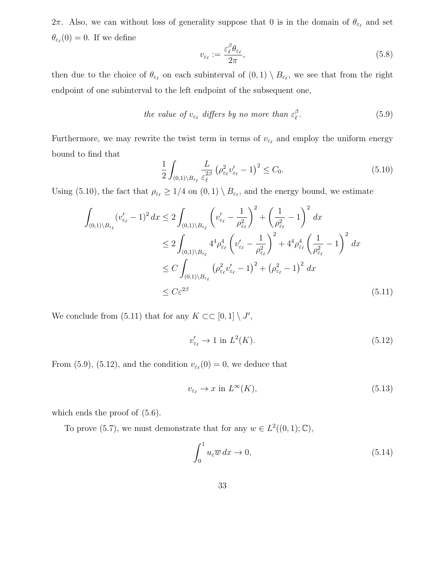2π. Also, we can without loss of generality suppose that 0 is in the domain of  $\theta_{\varepsilon_\ell}$  and set  $\theta_{\varepsilon_{\ell}}(0) = 0$ . If we define

$$
v_{\varepsilon_{\ell}} := \frac{\varepsilon_{\ell}^{\beta} \theta_{\varepsilon_{\ell}}}{2\pi},\tag{5.8}
$$

then due to the choice of  $\theta_{\varepsilon_\ell}$  on each subinterval of  $(0,1) \setminus B_{\varepsilon_\ell}$ , we see that from the right endpoint of one subinterval to the left endpoint of the subsequent one,

the value of 
$$
v_{\varepsilon_{\ell}}
$$
 differs by no more than  $\varepsilon_{\ell}^{\beta}$ . (5.9)

Furthermore, we may rewrite the twist term in terms of  $v_{\varepsilon_\ell}$  and employ the uniform energy bound to find that

$$
\frac{1}{2} \int_{(0,1)\backslash B_{\varepsilon_{\ell}}} \frac{L}{\varepsilon_{\ell}^{2\beta}} \left(\rho_{\varepsilon_{\ell}}^{2} v_{\varepsilon_{\ell}}' - 1\right)^{2} \le C_{0}.\tag{5.10}
$$

Using (5.10), the fact that  $\rho_{\varepsilon_\ell} \geq 1/4$  on  $(0,1) \setminus B_{\varepsilon_\ell}$ , and the energy bound, we estimate

$$
\int_{(0,1)\backslash B_{\varepsilon_{\ell}}} (v'_{\varepsilon_{\ell}} - 1)^2 dx \le 2 \int_{(0,1)\backslash B_{\varepsilon_{\ell}}} \left(v'_{\varepsilon_{\ell}} - \frac{1}{\rho_{\varepsilon_{\ell}}^2}\right)^2 + \left(\frac{1}{\rho_{\varepsilon_{\ell}}^2} - 1\right)^2 dx
$$
\n
$$
\le 2 \int_{(0,1)\backslash B_{\varepsilon_{\ell}}} 4^4 \rho_{\varepsilon_{\ell}}^4 \left(v'_{\varepsilon_{\ell}} - \frac{1}{\rho_{\varepsilon_{\ell}}^2}\right)^2 + 4^4 \rho_{\varepsilon_{\ell}}^4 \left(\frac{1}{\rho_{\varepsilon_{\ell}}^2} - 1\right)^2 dx
$$
\n
$$
\le C \int_{(0,1)\backslash B_{\varepsilon_{\ell}}} (\rho_{\varepsilon_{\ell}}^2 v'_{\varepsilon_{\ell}} - 1)^2 + (\rho_{\varepsilon_{\ell}}^2 - 1)^2 dx
$$
\n
$$
\le C \varepsilon^{2\beta} \tag{5.11}
$$

We conclude from (5.11) that for any  $K \subset \subset [0,1] \setminus J'$ ,

$$
v'_{\varepsilon_{\ell}} \to 1 \text{ in } L^2(K). \tag{5.12}
$$

From (5.9), (5.12), and the condition  $v_{\varepsilon_{\ell}}(0) = 0$ , we deduce that

$$
v_{\varepsilon_{\ell}} \to x \text{ in } L^{\infty}(K),\tag{5.13}
$$

which ends the proof of  $(5.6)$ .

To prove (5.7), we must demonstrate that for any  $w \in L^2((0,1);\mathbb{C}),$ 

$$
\int_0^1 u_\varepsilon \overline{w} \, dx \to 0,\tag{5.14}
$$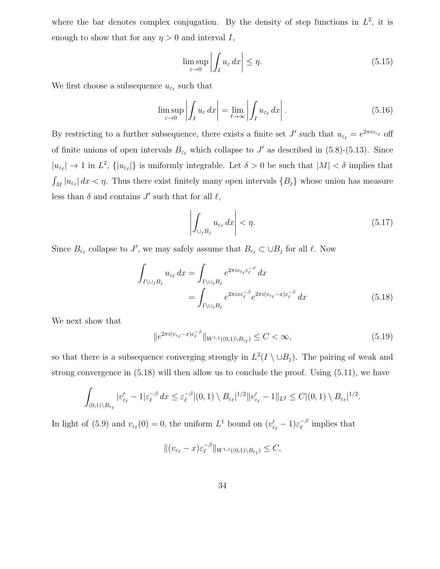where the bar denotes complex conjugation. By the density of step functions in  $L^2$ , it is enough to show that for any  $\eta > 0$  and interval I,

$$
\limsup_{\varepsilon \to 0} \left| \int_{I} u_{\varepsilon} \, dx \right| \le \eta. \tag{5.15}
$$

We first choose a subsequence  $u_{\varepsilon_\ell}$  such that

$$
\limsup_{\varepsilon \to 0} \left| \int_{I} u_{\varepsilon} dx \right| = \lim_{\ell \to \infty} \left| \int_{I} u_{\varepsilon_{\ell}} dx \right|.
$$
 (5.16)

By restricting to a further subsequence, there exists a finite set  $J'$  such that  $u_{\varepsilon_\ell} = e^{2\pi i v_{\varepsilon_\ell}}$  off of finite unions of open intervals  $B_{\varepsilon_\ell}$  which collapse to J' as described in (5.8)-(5.13). Since  $|u_{\varepsilon_\ell}| \to 1$  in  $L^2$ ,  $\{|u_{\varepsilon_\ell}|\}$  is uniformly integrable. Let  $\delta > 0$  be such that  $|M| < \delta$  implies that  $\int_M |u_{\varepsilon_\ell}| dx < \eta$ . Thus there exist finitely many open intervals  $\{B_j\}$  whose union has measure less than  $\delta$  and contains  $J'$  such that for all  $\ell$ ,

$$
\left| \int_{\cup_{j} B_j} u_{\varepsilon_\ell} \, dx \right| < \eta. \tag{5.17}
$$

Since  $B_{\varepsilon_\ell}$  collapse to J', we may safely assume that  $B_{\varepsilon_\ell} \subset \cup B_j$  for all  $\ell$ . Now

$$
\int_{I \setminus \bigcup_{j} B_{j}} u_{\varepsilon_{\ell}} dx = \int_{I \setminus \bigcup_{j} B_{j}} e^{2\pi i v_{\varepsilon_{\ell}} \varepsilon_{\ell}^{-\beta}} dx
$$
\n
$$
= \int_{I \setminus \bigcup_{j} B_{j}} e^{2\pi i x \varepsilon_{\ell}^{-\beta}} e^{2\pi i (v_{\varepsilon_{\ell}} - x) \varepsilon_{\ell}^{-\beta}} dx \tag{5.18}
$$

We next show that

$$
||e^{2\pi i(v_{\varepsilon_\ell}-x)\varepsilon_\ell^{-\beta}}||_{W^{1,1}((0,1)\setminus B_{\varepsilon_\ell})} \le C < \infty,
$$
\n(5.19)

so that there is a subsequence converging strongly in  $L^2(I \setminus \cup B_j)$ . The pairing of weak and strong convergence in (5.18) will then allow us to conclude the proof. Using (5.11), we have

$$
\int_{(0,1)\setminus B_{\varepsilon_\ell}}|v'_{\varepsilon_\ell}-1|\varepsilon_\ell^{-\beta}\,dx\leq \varepsilon_\ell^{-\beta}|(0,1)\setminus B_{\varepsilon_\ell}|^{1/2}\|v'_{\varepsilon_\ell}-1\|_{L^2}\leq C|(0,1)\setminus B_{\varepsilon_\ell}|^{1/2}.
$$

In light of (5.9) and  $v_{\varepsilon_{\ell}}(0) = 0$ , the uniform  $L^1$  bound on  $(v'_{\varepsilon_{\ell}} - 1)\varepsilon_{\ell}^{-\beta}$  $\bar{\ell}^{\beta}$  implies that

$$
\|(v_{\varepsilon_{\ell}}-x)\varepsilon_{\ell}^{-\beta}\|_{W^{1,1}((0,1)\setminus B_{\varepsilon_{\ell}})}\leq C,
$$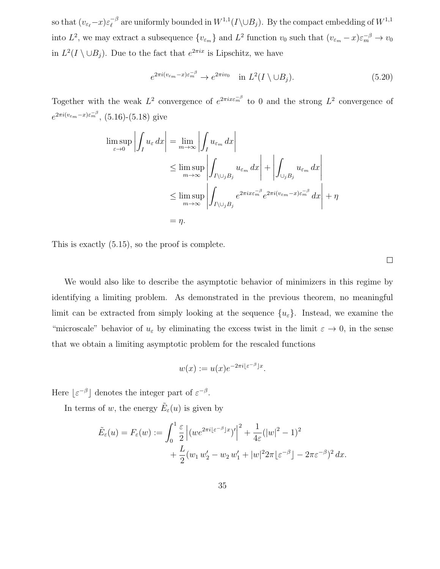so that  $(v_{\varepsilon_{\ell}}-x)\varepsilon_{\ell}^{-\beta}$  $\int_{\ell}^{-\beta}$  are uniformly bounded in  $W^{1,1}(I\backslash \cup B_j)$ . By the compact embedding of  $W^{1,1}$ into  $L^2$ , we may extract a subsequence  $\{v_{\varepsilon_m}\}\$  and  $L^2$  function  $v_0$  such that  $(v_{\varepsilon_m}-x)\varepsilon_m^{-\beta}\to v_0$ in  $L^2(I \setminus \cup B_j)$ . Due to the fact that  $e^{2\pi ix}$  is Lipschitz, we have

$$
e^{2\pi i (v_{\varepsilon_m} - x)\varepsilon_m^{-\beta}} \to e^{2\pi i v_0} \quad \text{in } L^2(I \setminus \cup B_j). \tag{5.20}
$$

Together with the weak  $L^2$  convergence of  $e^{2\pi ix\varepsilon_m^{-\beta}}$  to 0 and the strong  $L^2$  convergence of  $e^{2\pi i (v_{\varepsilon_m}-x)\varepsilon_m^{-\beta}}$ , (5.16)-(5.18) give

$$
\limsup_{\varepsilon \to 0} \left| \int_{I} u_{\varepsilon} dx \right| = \lim_{m \to \infty} \left| \int_{I} u_{\varepsilon_m} dx \right|
$$
  
\n
$$
\leq \limsup_{m \to \infty} \left| \int_{I \setminus \cup_{j} B_j} u_{\varepsilon_m} dx \right| + \left| \int_{\cup_{j} B_j} u_{\varepsilon_m} dx \right|
$$
  
\n
$$
\leq \limsup_{m \to \infty} \left| \int_{I \setminus \cup_{j} B_j} e^{2\pi i x \varepsilon_m^{-\beta}} e^{2\pi i (v_{\varepsilon_m} - x) \varepsilon_m^{-\beta}} dx \right| + \eta
$$
  
\n
$$
= \eta.
$$

This is exactly (5.15), so the proof is complete.

 $\Box$ 

We would also like to describe the asymptotic behavior of minimizers in this regime by identifying a limiting problem. As demonstrated in the previous theorem, no meaningful limit can be extracted from simply looking at the sequence  $\{u_{\varepsilon}\}\$ . Instead, we examine the "microscale" behavior of  $u_{\varepsilon}$  by eliminating the excess twist in the limit  $\varepsilon \to 0$ , in the sense that we obtain a limiting asymptotic problem for the rescaled functions

$$
w(x) := u(x)e^{-2\pi i\left[\varepsilon^{-\beta}\right]x}.
$$

Here  $|\varepsilon^{-\beta}|$  denotes the integer part of  $\varepsilon^{-\beta}$ .

In terms of w, the energy  $\tilde{E}_{\varepsilon}(u)$  is given by

$$
\tilde{E}_{\varepsilon}(u) = F_{\varepsilon}(w) := \int_0^1 \frac{\varepsilon}{2} \left| (we^{2\pi i [\varepsilon^{-\beta}]x})' \right|^2 + \frac{1}{4\varepsilon} (|w|^2 - 1)^2 + \frac{L}{2} (w_1 w_2' - w_2 w_1' + |w|^2 2\pi [\varepsilon^{-\beta}] - 2\pi \varepsilon^{-\beta})^2 dx.
$$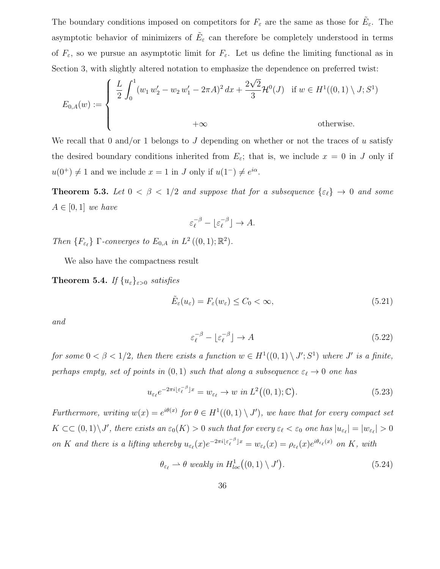The boundary conditions imposed on competitors for  $F_{\varepsilon}$  are the same as those for  $\tilde{E}_{\varepsilon}$ . The asymptotic behavior of minimizers of  $\tilde{E}_{\varepsilon}$  can therefore be completely understood in terms of  $F_{\varepsilon}$ , so we pursue an asymptotic limit for  $F_{\varepsilon}$ . Let us define the limiting functional as in Section 3, with slightly altered notation to emphasize the dependence on preferred twist:

$$
E_{0,A}(w) := \begin{cases} \frac{L}{2} \int_0^1 (w_1 w_2' - w_2 w_1' - 2\pi A)^2 dx + \frac{2\sqrt{2}}{3} \mathcal{H}^0(J) & \text{if } w \in H^1((0,1) \setminus J; S^1) \\ +\infty & \text{otherwise.} \end{cases}
$$

We recall that 0 and/or 1 belongs to J depending on whether or not the traces of u satisfy the desired boundary conditions inherited from  $E_{\varepsilon}$ ; that is, we include  $x = 0$  in J only if  $u(0^+) \neq 1$  and we include  $x = 1$  in J only if  $u(1^-) \neq e^{i\alpha}$ .

**Theorem 5.3.** Let  $0 < \beta < 1/2$  and suppose that for a subsequence  $\{\varepsilon_\ell\} \to 0$  and some  $A \in [0,1]$  we have

$$
\varepsilon_{\ell}^{-\beta} - \lfloor \varepsilon_{\ell}^{-\beta} \rfloor \to A.
$$

Then  $\{F_{\varepsilon_\ell}\}\Gamma$ -converges to  $E_{0,A}$  in  $L^2((0,1);\mathbb{R}^2)$ .

We also have the compactness result

**Theorem 5.4.** If  $\{u_{\varepsilon}\}_{{\varepsilon}>0}$  satisfies

$$
\tilde{E}_{\varepsilon}(u_{\varepsilon}) = F_{\varepsilon}(w_{\varepsilon}) \le C_0 < \infty, \tag{5.21}
$$

and

$$
\varepsilon_{\ell}^{-\beta} - \lfloor \varepsilon_{\ell}^{-\beta} \rfloor \to A \tag{5.22}
$$

for some  $0 < \beta < 1/2$ , then there exists a function  $w \in H^1((0,1) \setminus J'; S^1)$  where J' is a finite, perhaps empty, set of points in  $(0, 1)$  such that along a subsequence  $\varepsilon_\ell \to 0$  one has

$$
u_{\varepsilon_{\ell}}e^{-2\pi i\lfloor \varepsilon_{\ell}^{-\beta}\rfloor x} = w_{\varepsilon_{\ell}} \to w \text{ in } L^{2}((0,1);\mathbb{C}).
$$
\n(5.23)

Furthermore, writing  $w(x) = e^{i\theta(x)}$  for  $\theta \in H^1((0,1) \setminus J')$ , we have that for every compact set  $K \subset\subset (0,1)\setminus J'$ , there exists an  $\varepsilon_0(K) > 0$  such that for every  $\varepsilon_\ell < \varepsilon_0$  one has  $|u_{\varepsilon_\ell}| = |w_{\varepsilon_\ell}| > 0$ on K and there is a lifting whereby  $u_{\varepsilon_\ell}(x)e^{-2\pi i\lfloor \varepsilon_\ell^{-\beta}\rfloor x} = w_{\varepsilon_\ell}(x) = \rho_{\varepsilon_\ell}(x)e^{i\theta_{\varepsilon_\ell}(x)}$  on K, with

$$
\theta_{\varepsilon_{\ell}} \rightharpoonup \theta \ weakly \ in \ H^1_{loc}((0,1) \setminus J'). \tag{5.24}
$$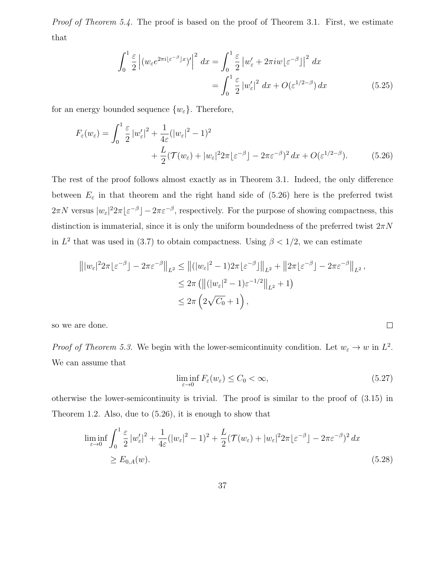Proof of Theorem 5.4. The proof is based on the proof of Theorem 3.1. First, we estimate that

$$
\int_0^1 \frac{\varepsilon}{2} \left| (w_\varepsilon e^{2\pi i [\varepsilon^{-\beta}]x})' \right|^2 dx = \int_0^1 \frac{\varepsilon}{2} \left| w_\varepsilon' + 2\pi i w [\varepsilon^{-\beta}] \right|^2 dx
$$

$$
= \int_0^1 \frac{\varepsilon}{2} \left| w_\varepsilon' \right|^2 dx + O(\varepsilon^{1/2-\beta}) dx \tag{5.25}
$$

for an energy bounded sequence  $\{w_{\varepsilon}\}\.$  Therefore,

$$
F_{\varepsilon}(w_{\varepsilon}) = \int_0^1 \frac{\varepsilon}{2} |w_{\varepsilon}'|^2 + \frac{1}{4\varepsilon} (|w_{\varepsilon}|^2 - 1)^2
$$
  
+ 
$$
\frac{L}{2} (\mathcal{T}(w_{\varepsilon}) + |w_{\varepsilon}|^2 2\pi \lfloor \varepsilon^{-\beta} \rfloor - 2\pi \varepsilon^{-\beta})^2 dx + O(\varepsilon^{1/2-\beta}).
$$
 (5.26)

The rest of the proof follows almost exactly as in Theorem 3.1. Indeed, the only difference between  $E_{\varepsilon}$  in that theorem and the right hand side of (5.26) here is the preferred twist  $2\pi N$  versus  $|w_{\varepsilon}|^2 2\pi |\varepsilon^{-\beta}| - 2\pi \varepsilon^{-\beta}$ , respectively. For the purpose of showing compactness, this distinction is immaterial, since it is only the uniform boundedness of the preferred twist  $2\pi N$ in  $L^2$  that was used in (3.7) to obtain compactness. Using  $\beta < 1/2$ , we can estimate

$$
\| |w_{\varepsilon}|^2 2\pi {\varepsilon}^{-\beta} | - 2\pi {\varepsilon}^{-\beta} \|_{L^2} \le \| (|w_{\varepsilon}|^2 - 1) 2\pi {\varepsilon}^{-\beta} \|_{L^2} + \| 2\pi {\varepsilon}^{-\beta} | - 2\pi {\varepsilon}^{-\beta} \|_{L^2},
$$
  

$$
\le 2\pi \left( \| (|w_{\varepsilon}|^2 - 1) {\varepsilon}^{-1/2} \|_{L^2} + 1 \right)
$$
  

$$
\le 2\pi \left( 2\sqrt{C_0} + 1 \right),
$$

so we are done.

*Proof of Theorem 5.3.* We begin with the lower-semicontinuity condition. Let  $w_{\varepsilon} \to w$  in  $L^2$ . We can assume that

$$
\liminf_{\varepsilon \to 0} F_{\varepsilon}(w_{\varepsilon}) \le C_0 < \infty, \tag{5.27}
$$

 $\Box$ 

otherwise the lower-semicontinuity is trivial. The proof is similar to the proof of (3.15) in Theorem 1.2. Also, due to (5.26), it is enough to show that

$$
\liminf_{\varepsilon \to 0} \int_0^1 \frac{\varepsilon}{2} |w_{\varepsilon}'|^2 + \frac{1}{4\varepsilon} (|w_{\varepsilon}|^2 - 1)^2 + \frac{L}{2} (\mathcal{T}(w_{\varepsilon}) + |w_{\varepsilon}|^2 2\pi |\varepsilon^{-\beta}] - 2\pi \varepsilon^{-\beta})^2 dx
$$
\n
$$
\ge E_{0,A}(w). \tag{5.28}
$$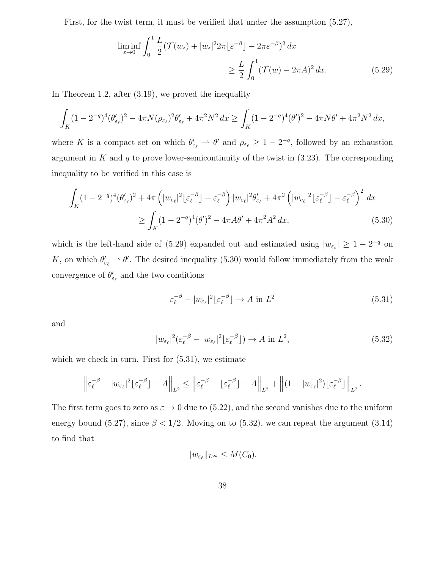First, for the twist term, it must be verified that under the assumption (5.27),

$$
\liminf_{\varepsilon \to 0} \int_0^1 \frac{L}{2} (\mathcal{T}(w_\varepsilon) + |w_\varepsilon|^2 2\pi \lfloor \varepsilon^{-\beta} \rfloor - 2\pi \varepsilon^{-\beta})^2 dx
$$
  
\n
$$
\geq \frac{L}{2} \int_0^1 (\mathcal{T}(w) - 2\pi A)^2 dx.
$$
 (5.29)

In Theorem 1.2, after (3.19), we proved the inequality

$$
\int_{K} (1 - 2^{-q})^4 (\theta'_{\varepsilon_{\ell}})^2 - 4\pi N (\rho_{\varepsilon_{\ell}})^2 \theta'_{\varepsilon_{\ell}} + 4\pi^2 N^2 dx \ge \int_{K} (1 - 2^{-q})^4 (\theta')^2 - 4\pi N \theta' + 4\pi^2 N^2 dx,
$$

where K is a compact set on which  $\theta'_{\varepsilon_\ell} \to \theta'$  and  $\rho_{\varepsilon_\ell} \geq 1 - 2^{-q}$ , followed by an exhaustion argument in  $K$  and  $q$  to prove lower-semicontinuity of the twist in  $(3.23)$ . The corresponding inequality to be verified in this case is

$$
\int_{K} (1 - 2^{-q})^4 (\theta'_{\varepsilon_{\ell}})^2 + 4\pi \left( |w_{e_{\ell}}|^2 \lfloor \varepsilon_{\ell}^{-\beta} \rfloor - \varepsilon_{\ell}^{-\beta} \right) |w_{\varepsilon_{\ell}}|^2 \theta'_{\varepsilon_{\ell}} + 4\pi^2 \left( |w_{e_{\ell}}|^2 \lfloor \varepsilon_{\ell}^{-\beta} \rfloor - \varepsilon_{\ell}^{-\beta} \right)^2 dx
$$
\n
$$
\geq \int_{K} (1 - 2^{-q})^4 (\theta')^2 - 4\pi A \theta' + 4\pi^2 A^2 dx, \tag{5.30}
$$

which is the left-hand side of (5.29) expanded out and estimated using  $|w_{\varepsilon_\ell}| \geq 1 - 2^{-q}$  on K, on which  $\theta'_{\varepsilon_{\ell}} \to \theta'$ . The desired inequality (5.30) would follow immediately from the weak convergence of  $\theta'_{\varepsilon_{\ell}}$  and the two conditions

$$
\varepsilon_{\ell}^{-\beta} - |w_{\varepsilon_{\ell}}|^2 \lfloor \varepsilon_{\ell}^{-\beta} \rfloor \to A \text{ in } L^2
$$
 (5.31)

and

$$
|w_{\varepsilon_{\ell}}|^2(\varepsilon_{\ell}^{-\beta} - |w_{\varepsilon_{\ell}}|^2 \lfloor \varepsilon_{\ell}^{-\beta} \rfloor) \to A \text{ in } L^2,
$$
\n(5.32)

which we check in turn. First for  $(5.31)$ , we estimate

$$
\left\|\varepsilon_{\ell}^{-\beta} - |w_{\varepsilon_{\ell}}|^2 \lfloor \varepsilon_{\ell}^{-\beta} \rfloor - A \right\|_{L^2} \le \left\|\varepsilon_{\ell}^{-\beta} - \lfloor \varepsilon_{\ell}^{-\beta} \rfloor - A \right\|_{L^2} + \left\|(1 - |w_{\varepsilon_{\ell}}|^2) \lfloor \varepsilon_{\ell}^{-\beta} \rfloor \right\|_{L^2}.
$$

The first term goes to zero as  $\varepsilon \to 0$  due to (5.22), and the second vanishes due to the uniform energy bound (5.27), since  $\beta < 1/2$ . Moving on to (5.32), we can repeat the argument (3.14) to find that

$$
||w_{\varepsilon_{\ell}}||_{L^{\infty}} \leq M(C_0).
$$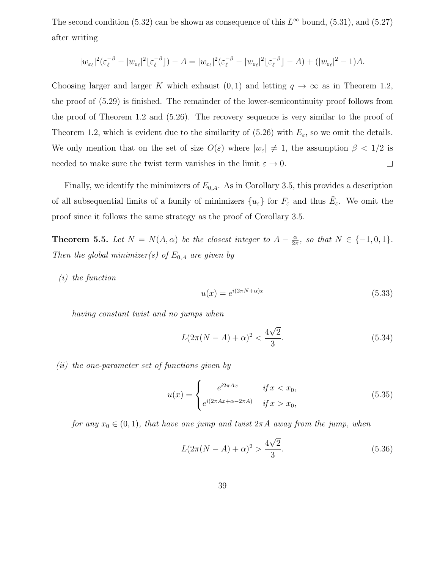The second condition (5.32) can be shown as consequence of this  $L^{\infty}$  bound, (5.31), and (5.27) after writing

$$
|w_{\varepsilon_{\ell}}|^2(\varepsilon_{\ell}^{-\beta}-|w_{\varepsilon_{\ell}}|^2\lfloor \varepsilon_{\ell}^{-\beta}\rfloor)-A=|w_{\varepsilon_{\ell}}|^2(\varepsilon_{\ell}^{-\beta}-|w_{\varepsilon_{\ell}}|^2\lfloor \varepsilon_{\ell}^{-\beta}\rfloor-A)+(|w_{\varepsilon_{\ell}}|^2-1)A.
$$

Choosing larger and larger K which exhaust  $(0, 1)$  and letting  $q \to \infty$  as in Theorem 1.2, the proof of (5.29) is finished. The remainder of the lower-semicontinuity proof follows from the proof of Theorem 1.2 and (5.26). The recovery sequence is very similar to the proof of Theorem 1.2, which is evident due to the similarity of  $(5.26)$  with  $E_{\varepsilon}$ , so we omit the details. We only mention that on the set of size  $O(\varepsilon)$  where  $|w_{\varepsilon}| \neq 1$ , the assumption  $\beta < 1/2$  is needed to make sure the twist term vanishes in the limit  $\varepsilon \to 0$ .  $\Box$ 

Finally, we identify the minimizers of  $E_{0,A}$ . As in Corollary 3.5, this provides a description of all subsequential limits of a family of minimizers  $\{u_{\varepsilon}\}\)$  for  $F_{\varepsilon}$  and thus  $\tilde{E}_{\varepsilon}$ . We omit the proof since it follows the same strategy as the proof of Corollary 3.5.

**Theorem 5.5.** Let  $N = N(A, \alpha)$  be the closest integer to  $A - \frac{\alpha}{2a}$  $\frac{\alpha}{2\pi}$ , so that  $N \in \{-1,0,1\}$ . Then the global minimizer(s) of  $E_{0,A}$  are given by

(i) the function

$$
u(x) = e^{i(2\pi N + \alpha)x} \tag{5.33}
$$

having constant twist and no jumps when

$$
L(2\pi(N-A)+\alpha)^2 < \frac{4\sqrt{2}}{3}.\tag{5.34}
$$

(ii) the one-parameter set of functions given by

$$
u(x) = \begin{cases} e^{i2\pi Ax} & \text{if } x < x_0, \\ e^{i(2\pi Ax + \alpha - 2\pi A)} & \text{if } x > x_0, \end{cases}
$$
 (5.35)

for any  $x_0 \in (0,1)$ , that have one jump and twist  $2\pi A$  away from the jump, when

$$
L(2\pi(N-A) + \alpha)^2 > \frac{4\sqrt{2}}{3}.
$$
 (5.36)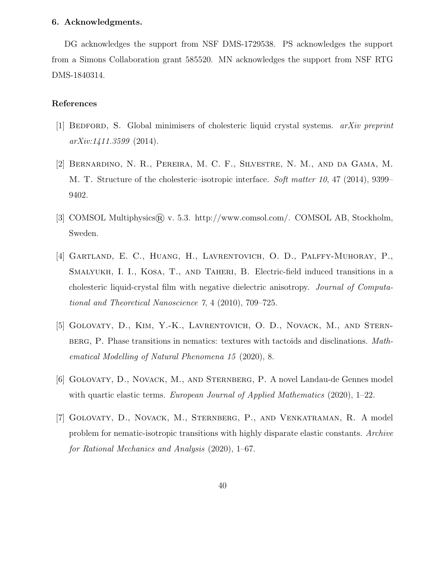#### 6. Acknowledgments.

DG acknowledges the support from NSF DMS-1729538. PS acknowledges the support from a Simons Collaboration grant 585520. MN acknowledges the support from NSF RTG DMS-1840314.

# References

- [1] BEDFORD, S. Global minimisers of cholesteric liquid crystal systems.  $arXiv$  preprint  $arXiv:1411.3599$  (2014).
- [2] Bernardino, N. R., Pereira, M. C. F., Silvestre, N. M., and da Gama, M. M. T. Structure of the cholesteric–isotropic interface. Soft matter 10, 47 (2014), 9399– 9402.
- [3] COMSOL Multiphysics  $\mathbb R$  v. 5.3. http://www.comsol.com/. COMSOL AB, Stockholm, Sweden.
- [4] Gartland, E. C., Huang, H., Lavrentovich, O. D., Palffy-Muhoray, P., Smalyukh, I. I., Kosa, T., and Taheri, B. Electric-field induced transitions in a cholesteric liquid-crystal film with negative dielectric anisotropy. Journal of Computational and Theoretical Nanoscience 7, 4 (2010), 709–725.
- [5] Golovaty, D., Kim, Y.-K., Lavrentovich, O. D., Novack, M., and Sternberg, P. Phase transitions in nematics: textures with tactoids and disclinations. Mathematical Modelling of Natural Phenomena 15 (2020), 8.
- [6] GOLOVATY, D., NOVACK, M., AND STERNBERG, P. A novel Landau-de Gennes model with quartic elastic terms. European Journal of Applied Mathematics (2020), 1–22.
- [7] Golovaty, D., Novack, M., Sternberg, P., and Venkatraman, R. A model problem for nematic-isotropic transitions with highly disparate elastic constants. Archive for Rational Mechanics and Analysis (2020), 1–67.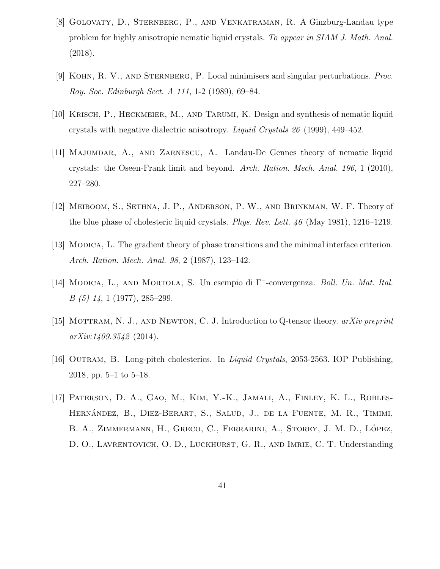- [8] Golovaty, D., Sternberg, P., and Venkatraman, R. A Ginzburg-Landau type problem for highly anisotropic nematic liquid crystals. To appear in SIAM J. Math. Anal. (2018).
- [9] Kohn, R. V., and Sternberg, P. Local minimisers and singular perturbations. Proc. Roy. Soc. Edinburgh Sect. A 111, 1-2 (1989), 69–84.
- [10] KRISCH, P., HECKMEIER, M., AND TARUMI, K. Design and synthesis of nematic liquid crystals with negative dialectric anisotropy. Liquid Crystals 26 (1999), 449–452.
- [11] Majumdar, A., and Zarnescu, A. Landau-De Gennes theory of nematic liquid crystals: the Oseen-Frank limit and beyond. Arch. Ration. Mech. Anal. 196, 1 (2010), 227–280.
- [12] Meiboom, S., Sethna, J. P., Anderson, P. W., and Brinkman, W. F. Theory of the blue phase of cholesteric liquid crystals. *Phys. Rev. Lett. 46* (May 1981), 1216–1219.
- [13] MODICA, L. The gradient theory of phase transitions and the minimal interface criterion. Arch. Ration. Mech. Anal. 98, 2 (1987), 123–142.
- [14] Modica, L., and Mortola, S. Un esempio di Γ<sup>−</sup>-convergenza. Boll. Un. Mat. Ital. B (5) 14, 1 (1977), 285–299.
- [15] MOTTRAM, N. J., AND NEWTON, C. J. Introduction to Q-tensor theory.  $arXiv$  preprint arXiv:1409.3542 (2014).
- [16] OUTRAM, B. Long-pitch cholesterics. In *Liquid Crystals*, 2053-2563. IOP Publishing, 2018, pp. 5–1 to 5–18.
- [17] Paterson, D. A., Gao, M., Kim, Y.-K., Jamali, A., Finley, K. L., Robles-HERNÁNDEZ, B., DIEZ-BERART, S., SALUD, J., DE LA FUENTE, M. R., TIMIMI, B. A., ZIMMERMANN, H., GRECO, C., FERRARINI, A., STOREY, J. M. D., LÓPEZ, D. O., LAVRENTOVICH, O. D., LUCKHURST, G. R., AND IMRIE, C. T. Understanding